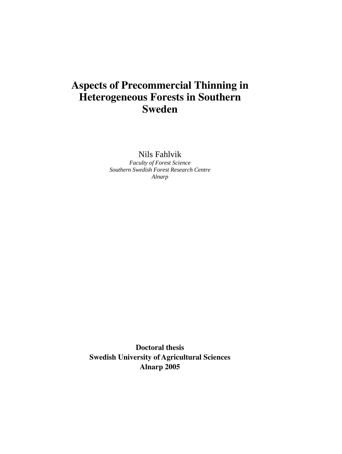# **Aspects of Precommercial Thinning in Heterogeneous Forests in Southern Sweden**

Nils Fahlvik

*Faculty of Forest Science Southern Swedish Forest Research Centre Alnarp* 

**Doctoral thesis Swedish University of Agricultural Sciences Alnarp 2005**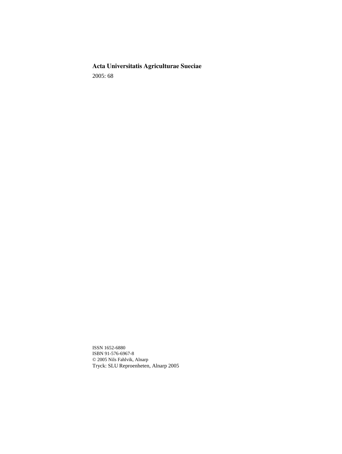# **Acta Universitatis Agriculturae Sueciae**

2005: 68

ISSN 1652-6880 ISBN 91-576-6967-8 © 2005 Nils Fahlvik, Alnarp Tryck: SLU Reproenheten, Alnarp 2005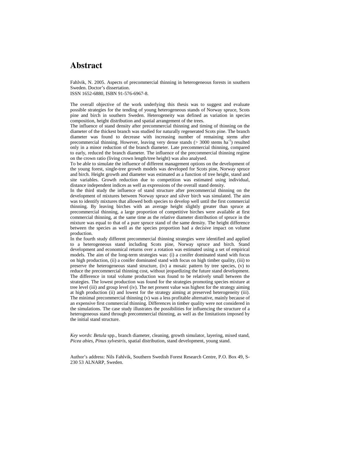# **Abstract**

Fahlvik, N. 2005. Aspects of precommercial thinning in heterogeneous forests in southern Sweden. Doctor's dissertation.

ISSN 1652-6880, ISBN 91-576-6967-8.

The overall objective of the work underlying this thesis was to suggest and evaluate possible strategies for the tending of young heterogeneous stands of Norway spruce, Scots pine and birch in southern Sweden. Heterogeneity was defined as variation in species composition, height distribution and spatial arrangement of the trees.

The influence of stand density after precommercial thinning and timing of thinning on the diameter of the thickest branch was studied for naturally regenerated Scots pine. The branch diameter was found to decrease with increasing number of remaining stems after precommercial thinning. However, leaving very dense stands ( $>$  3000 stems ha<sup>-1</sup>) resulted only in a minor reduction of the branch diameter. Late precommercial thinning, compared to early, reduced the branch diameter. The influence of the precommercial thinning regime on the crown ratio (living crown length/tree height) was also analysed.

To be able to simulate the influence of different management options on the development of the young forest, single-tree growth models was developed for Scots pine, Norway spruce and birch. Height growth and diameter was estimated as a function of tree height, stand and site variables. Growth reduction due to competition was estimated using individual, distance independent indices as well as expressions of the overall stand density.

In the third study the influence of stand structure after precommercial thinning on the development of mixtures between Norway spruce and silver birch was simulated. The aim was to identify mixtures that allowed both species to develop well until the first commercial thinning. By leaving birches with an average height slightly greater than spruce at precommercial thinning, a large proportion of competitive birches were available at first commercial thinning, at the same time as the relative diameter distribution of spruce in the mixture was equal to that of a pure spruce stand of the same density. The height difference between the species as well as the species proportion had a decisive impact on volume production.

In the fourth study different precommercial thinning strategies were identified and applied to a heterogeneous stand including Scots pine, Norway spruce and birch. Stand development and economical returns over a rotation was estimated using a set of empirical models. The aim of the long-term strategies was: (i) a conifer dominated stand with focus on high production, (ii) a conifer dominated stand with focus on high timber quality, (iii) to preserve the heterogeneous stand structure, (iv) a mosaic pattern by tree species, (v) to reduce the precommercial thinning cost, without jeopardizing the future stand development. The difference in total volume production was found to be relatively small between the strategies. The lowest production was found for the strategies promoting species mixture at tree level (iii) and group level (iv). The net present value was highest for the strategy aiming at high production (ii) and lowest for the strategy aiming at preserved heterogeneity (iii). The minimal precommercial thinning (v) was a less profitable alternative, mainly because of an expensive first commercial thinning. Differences in timber quality were not considered in the simulations. The case study illustrates the possibilities for influencing the structure of a heterogeneous stand through precommercial thinning, as well as the limitations imposed by the initial stand structure.

*Key words*: *Betula* spp., branch diameter, cleaning, growth simulator, layering, mixed stand, *Picea abies*, *Pinus sylvestris*, spatial distribution, stand development, young stand.

Author's address: Nils Fahlvik, Southern Swedish Forest Research Centre, P.O. Box 49, S-230 53 ALNARP, Sweden.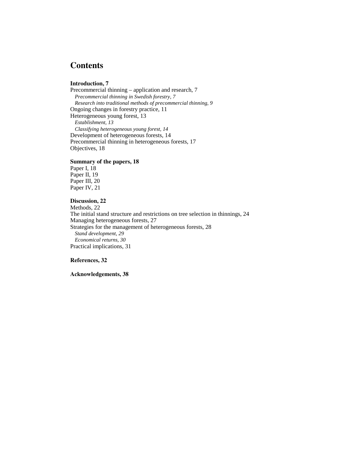# **Contents**

### **Introduction, 7**

Precommercial thinning – application and research, 7 *Precommercial thinning in Swedish forestry, 7 Research into traditional methods of precommercial thinning, 9*  Ongoing changes in forestry practice, 11 Heterogeneous young forest, 13 *Establishment, 13 Classifying heterogeneous young forest, 14*  Development of heterogeneous forests, 14 Precommercial thinning in heterogeneous forests, 17 Objectives, 18

#### **Summary of the papers, 18**

Paper I, 18 Paper II, 19 Paper III, 20 Paper IV, 21

### **Discussion, 22**

Methods, 22. The initial stand structure and restrictions on tree selection in thinnings, 24 Managing heterogeneous forests, 27 Strategies for the management of heterogeneous forests, 28 *Stand development, 29 Economical returns, 30*  Practical implications, 31

### **References, 32**

**Acknowledgements, 38**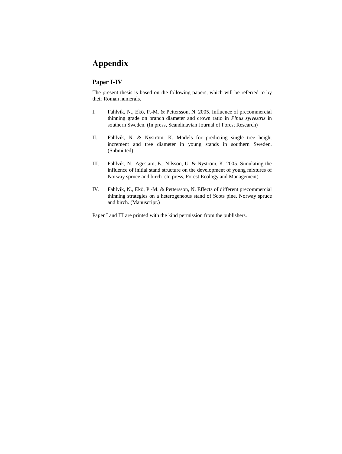# **Appendix**

## **Paper I-IV**

The present thesis is based on the following papers, which will be referred to by their Roman numerals.

- I. Fahlvik, N., Ekö, P.-M. & Pettersson, N. 2005. Influence of precommercial thinning grade on branch diameter and crown ratio in *Pinus sylvestris* in southern Sweden. (In press, Scandinavian Journal of Forest Research)
- II. Fahlvik, N. & Nyström, K. Models for predicting single tree height increment and tree diameter in young stands in southern Sweden. (Submitted)
- III. Fahlvik, N., Agestam, E., Nilsson, U. & Nyström, K. 2005. Simulating the influence of initial stand structure on the development of young mixtures of Norway spruce and birch. (In press, Forest Ecology and Management)
- IV. Fahlvik, N., Ekö, P.-M. & Pettersson, N. Effects of different precommercial thinning strategies on a heterogeneous stand of Scots pine, Norway spruce and birch. (Manuscript.)

Paper I and III are printed with the kind permission from the publishers.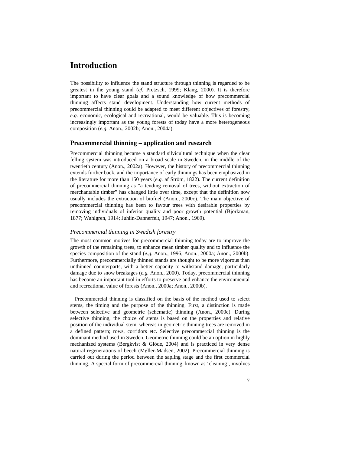# **Introduction**

The possibility to influence the stand structure through thinning is regarded to be greatest in the young stand (*cf.* Pretzsch, 1999; Klang, 2000). It is therefore important to have clear goals and a sound knowledge of how precommercial thinning affects stand development. Understanding how current methods of precommercial thinning could be adapted to meet different objectives of forestry, *e.g.* economic, ecological and recreational, would be valuable. This is becoming increasingly important as the young forests of today have a more heterogeneous composition (*e.g.* Anon., 2002b; Anon., 2004a).

### **Precommercial thinning – application and research**

Precommercial thinning became a standard silvicultural technique when the clear felling system was introduced on a broad scale in Sweden, in the middle of the twentieth century (Anon., 2002a). However, the history of precommercial thinning extends further back, and the importance of early thinnings has been emphasized in the literature for more than 150 years (*e.g.* af Ström, 1822). The current definition of precommercial thinning as "a tending removal of trees, without extraction of merchantable timber" has changed little over time, except that the definition now usually includes the extraction of biofuel (Anon., 2000c). The main objective of precommercial thinning has been to favour trees with desirable properties by removing individuals of inferior quality and poor growth potential (Björkman, 1877; Wahlgren, 1914; Juhlin-Dannerfelt, 1947; Anon., 1969).

#### *Precommercial thinning in Swedish forestry*

The most common motives for precommercial thinning today are to improve the growth of the remaining trees, to enhance mean timber quality and to influence the species composition of the stand (*e.g.* Anon., 1996; Anon., 2000a; Anon., 2000b). Furthermore, precommercially thinned stands are thought to be more vigorous than unthinned counterparts, with a better capacity to withstand damage, particularly damage due to snow breakages (*e.g.* Anon., 2000). Today, precommercial thinning has become an important tool in efforts to preserve and enhance the environmental and recreational value of forests (Anon., 2000a; Anon., 2000b).

Precommercial thinning is classified on the basis of the method used to select stems, the timing and the purpose of the thinning. First, a distinction is made between selective and geometric (schematic) thinning (Anon., 2000c). During selective thinning, the choice of stems is based on the properties and relative position of the individual stem, whereas in geometric thinning trees are removed in a defined pattern; rows, corridors etc. Selective precommercial thinning is the dominant method used in Sweden. Geometric thinning could be an option in highly mechanized systems (Bergkvist & Glöde, 2004) and is practiced in very dense natural regenerations of beech (Møller-Madsen, 2002). Precommercial thinning is carried out during the period between the sapling stage and the first commercial thinning. A special form of precommercial thinning, known as 'cleaning', involves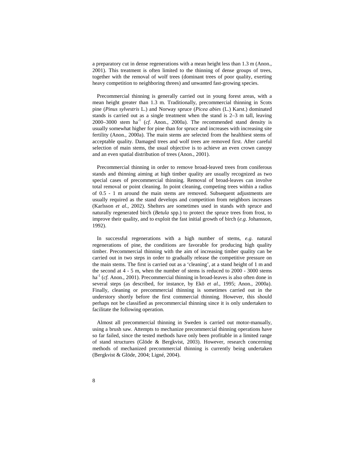a preparatory cut in dense regenerations with a mean height less than 1.3 m (Anon., 2001). This treatment is often limited to the thinning of dense groups of trees, together with the removal of wolf trees (dominant trees of poor quality, exerting heavy competition to neighboring threes) and unwanted fast-growing species.

Precommercial thinning is generally carried out in young forest areas, with a mean height greater than 1.3 m. Traditionally, precommercial thinning in Scots pine (*Pinus sylvestris* L.) and Norway spruce (*Picea abies* (L.) Karst.) dominated stands is carried out as a single treatment when the stand is 2–3 m tall, leaving 2000–3000 stem ha<sup>-1</sup> (*cf.* Anon., 2000a). The recommended stand density is usually somewhat higher for pine than for spruce and increases with increasing site fertility (Anon., 2000a). The main stems are selected from the healthiest stems of acceptable quality. Damaged trees and wolf trees are removed first. After careful selection of main stems, the usual objective is to achieve an even crown canopy and an even spatial distribution of trees (Anon., 2001).

Precommercial thinning in order to remove broad-leaved trees from coniferous stands and thinning aiming at high timber quality are usually recognized as two special cases of precommercial thinning. Removal of broad-leaves can involve total removal or point cleaning. In point cleaning, competing trees within a radius of 0.5 - 1 m around the main stems are removed. Subsequent adjustments are usually required as the stand develops and competition from neighbors increases (Karlsson *et al.*, 2002). Shelters are sometimes used in stands with spruce and naturally regenerated birch (*Betula* spp.) to protect the spruce trees from frost, to improve their quality, and to exploit the fast initial growth of birch (*e.g.* Johansson, 1992).

In successful regenerations with a high number of stems, *e.g.* natural regenerations of pine, the conditions are favorable for producing high quality timber. Precommercial thinning with the aim of increasing timber quality can be carried out in two steps in order to gradually release the competitive pressure on the main stems. The first is carried out as a 'cleaning', at a stand height of 1 m and the second at 4 - 5 m, when the number of stems is reduced to 2000 - 3000 stems ha<sup>-1</sup> (*cf.* Anon., 2001). Precommercial thinning in broad-leaves is also often done in several steps (as described, for instance, by Ekö *et al.*, 1995; Anon., 2000a). Finally, cleaning or precommercial thinning is sometimes carried out in the understory shortly before the first commercial thinning. However, this should perhaps not be classified as precommercial thinning since it is only undertaken to facilitate the following operation.

Almost all precommercial thinning in Sweden is carried out motor-manually, using a brush saw. Attempts to mechanize precommercial thinning operations have so far failed, since the tested methods have only been profitable in a limited range of stand structures (Glöde & Bergkvist, 2003). However, research concerning methods of mechanized precommercial thinning is currently being undertaken (Bergkvist & Glöde, 2004; Ligné, 2004).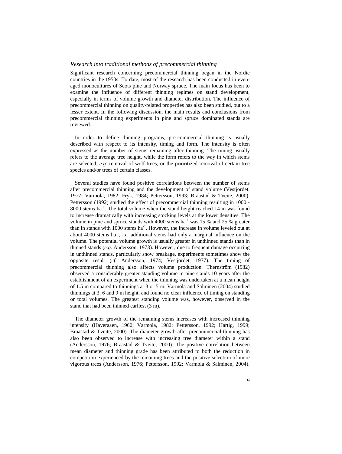#### *Research into traditional methods of precommercial thinning*

Significant research concerning precommercial thinning began in the Nordic countries in the 1950s. To date, most of the research has been conducted in evenaged monocultures of Scots pine and Norway spruce. The main focus has been to examine the influence of different thinning regimes on stand development, especially in terms of volume growth and diameter distribution. The influence of precommercial thinning on quality-related properties has also been studied, but to a lesser extent. In the following discussion, the main results and conclusions from precommercial thinning experiments in pine and spruce dominated stands are reviewed.

In order to define thinning programs, pre-commercial thinning is usually described with respect to its intensity, timing and form. The intensity is often expressed as the number of stems remaining after thinning. The timing usually refers to the average tree height, while the form refers to the way in which stems are selected, *e.g.* removal of wolf trees, or the prioritized removal of certain tree species and/or trees of certain classes.

Several studies have found positive correlations between the number of stems after precommercial thinning and the development of stand volume (Vestjordet, 1977; Varmola, 1982; Fryk, 1984; Pettersson, 1993; Braastad & Tveite, 2000). Pettersson (1992) studied the effect of precommercial thinning resulting in 1000 - 8000 stems  $ha^{-1}$ . The total volume when the stand height reached 14 m was found to increase dramatically with increasing stocking levels at the lower densities. The volume in pine and spruce stands with 4000 stems  $ha^{-1}$  was 15 % and 25 % greater than in stands with  $1000$  stems ha<sup>-1</sup>. However, the increase in volume leveled out at about  $4000$  stems ha<sup>-1</sup>, *i.e.* additional stems had only a marginal influence on the volume. The potential volume growth is usually greater in unthinned stands than in thinned stands (*e.g.* Andersson, 1973). However, due to frequent damage occurring in unthinned stands, particularly snow breakage, experiments sometimes show the opposite result (*cf.* Andersson, 1974; Vestjordet, 1977). The timing of precommercial thinning also affects volume production. Thernström (1982) observed a considerably greater standing volume in pine stands 10 years after the establishment of an experiment when the thinning was undertaken at a mean height of 1.5 m compared to thinnings at 3 or 5 m. Varmola and Salminen (2004) studied thinnings at 3, 6 and 9 m height, and found no clear influence of timing on standing or total volumes. The greatest standing volume was, however, observed in the stand that had been thinned earliest (3 m).

The diameter growth of the remaining stems increases with increased thinning intensity (Haveraaen, 1960; Varmola, 1982; Pettersson, 1992; Hartig, 1999; Braastad  $\&$  Tveite, 2000). The diameter growth after precommercial thinning has also been observed to increase with increasing tree diameter within a stand (Andersson, 1976; Braastad & Tveite, 2000). The positive correlation between mean diameter and thinning grade has been attributed to both the reduction in competition experienced by the remaining trees and the positive selection of more vigorous trees (Andersson, 1976; Pettersson, 1992; Varmola & Salminen, 2004).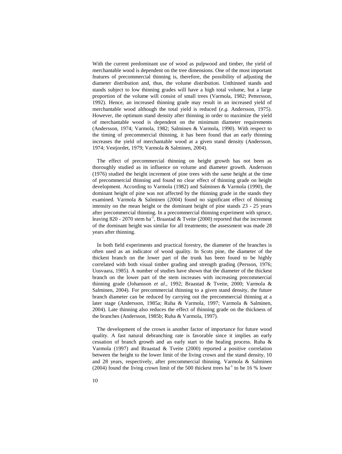With the current predominant use of wood as pulpwood and timber, the yield of merchantable wood is dependent on the tree dimensions. One of the most important features of precommercial thinning is, therefore, the possibility of adjusting the diameter distribution and, thus, the volume distribution. Unthinned stands and stands subject to low thinning grades will have a high total volume, but a large proportion of the volume will consist of small trees (Varmola, 1982; Pettersson, 1992). Hence, an increased thinning grade may result in an increased yield of merchantable wood although the total yield is reduced (*e.g.* Andersson, 1975). However, the optimum stand density after thinning in order to maximize the yield of merchantable wood is dependent on the minimum diameter requirements (Andersson, 1974; Varmola, 1982; Salminen & Varmola, 1990). With respect to the timing of precommercial thinning, it has been found that an early thinning increases the yield of merchantable wood at a given stand density (Andersson, 1974; Vestjordet, 1979; Varmola & Salminen, 2004).

The effect of precommercial thinning on height growth has not been as thoroughly studied as its influence on volume and diameter growth. Andersson (1976) studied the height increment of pine trees with the same height at the time of precommercial thinning and found no clear effect of thinning grade on height development. According to Varmola (1982) and Salminen & Varmola (1990), the dominant height of pine was not affected by the thinning grade in the stands they examined. Varmola & Salminen (2004) found no significant effect of thinning intensity on the mean height or the dominant height of pine stands 23 - 25 years after precommercial thinning. In a precommercial thinning experiment with spruce, leaving 820 - 2070 stem ha<sup>-1</sup>, Braastad & Tveite (2000) reported that the increment of the dominant height was similar for all treatments; the assessment was made 28 years after thinning.

In both field experiments and practical forestry, the diameter of the branches is often used as an indicator of wood quality. In Scots pine, the diameter of the thickest branch on the lower part of the trunk has been found to be highly correlated with both visual timber grading and strength grading (Persson, 1976; Uusvaara, 1985). A number of studies have shown that the diameter of the thickest branch on the lower part of the stem increases with increasing precommercial thinning grade (Johansson *et al.*, 1992; Braastad & Tveite, 2000; Varmola & Salminen, 2004). For precommercial thinning to a given stand density, the future branch diameter can be reduced by carrying out the precommercial thinning at a later stage (Andersson, 1985a; Ruha & Varmola, 1997; Varmola & Salminen, 2004). Late thinning also reduces the effect of thinning grade on the thickness of the branches (Andersson, 1985b; Ruha & Varmola, 1997).

The development of the crown is another factor of importance for future wood quality. A fast natural debranching rate is favorable since it implies an early cessation of branch growth and an early start to the healing process. Ruha & Varmola (1997) and Braastad & Tveite (2000) reported a positive correlation between the height to the lower limit of the living crown and the stand density, 10 and 28 years, respectively, after precommercial thinning. Varmola & Salminen (2004) found the living crown limit of the 500 thickest trees ha<sup>-1</sup> to be 16 % lower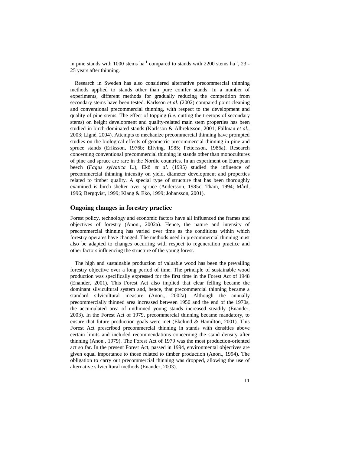in pine stands with 1000 stems  $ha^{-1}$  compared to stands with 2200 stems  $ha^{-1}$ , 23 -25 years after thinning.

Research in Sweden has also considered alternative precommercial thinning methods applied to stands other than pure conifer stands. In a number of experiments, different methods for gradually reducing the competition from secondary stems have been tested. Karlsson *et al.* (2002) compared point cleaning and conventional precommercial thinning, with respect to the development and quality of pine stems. The effect of topping (*i.e.* cutting the treetops of secondary stems) on height development and quality-related main stem properties has been studied in birch-dominated stands (Karlsson & Albrektsson, 2001; Fällman *et al.*, 2003; Ligné, 2004). Attempts to mechanize precommercial thinning have prompted studies on the biological effects of geometric precommercial thinning in pine and spruce stands (Eriksson, 1976b; Elfving, 1985; Pettersson, 1986a). Research concerning conventional precommercial thinning in stands other than monocultures of pine and spruce are rare in the Nordic countries. In an experiment on European beech (*Fagus sylvatica* L.), Ekö *et al.* (1995) studied the influence of precommercial thinning intensity on yield, diameter development and properties related to timber quality. A special type of structure that has been thoroughly examined is birch shelter over spruce (Andersson, 1985c; Tham, 1994; Mård, 1996; Bergqvist, 1999; Klang & Ekö, 1999; Johansson, 2001).

#### **Ongoing changes in forestry practice**

Forest policy, technology and economic factors have all influenced the frames and objectives of forestry (Anon., 2002a). Hence, the nature and intensity of precommercial thinning has varied over time as the conditions within which forestry operates have changed. The methods used in precommercial thinning must also be adapted to changes occurring with respect to regeneration practice and other factors influencing the structure of the young forest.

The high and sustainable production of valuable wood has been the prevailing forestry objective over a long period of time. The principle of sustainable wood production was specifically expressed for the first time in the Forest Act of 1948 (Enander, 2001). This Forest Act also implied that clear felling became the dominant silvicultural system and, hence, that precommercial thinning became a standard silvicultural measure (Anon., 2002a). Although the annually precommercially thinned area increased between 1950 and the end of the 1970s, the accumulated area of unthinned young stands increased steadily (Enander, 2003). In the Forest Act of 1979, precommercial thinning became mandatory, to ensure that future production goals were met (Ekelund & Hamilton, 2001). This Forest Act prescribed precommercial thinning in stands with densities above certain limits and included recommendations concerning the stand density after thinning (Anon., 1979). The Forest Act of 1979 was the most production-oriented act so far. In the present Forest Act, passed in 1994, environmental objectives are given equal importance to those related to timber production (Anon., 1994). The obligation to carry out precommercial thinning was dropped, allowing the use of alternative silvicultural methods (Enander, 2003).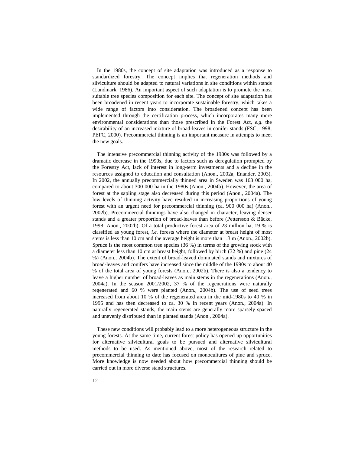In the 1980s, the concept of site adaptation was introduced as a response to standardized forestry. The concept implies that regeneration methods and silviculture should be adapted to natural variations in site conditions within stands (Lundmark, 1986). An important aspect of such adaptation is to promote the most suitable tree species composition for each site. The concept of site adaptation has been broadened in recent years to incorporate sustainable forestry, which takes a wide range of factors into consideration. The broadened concept has been implemented through the certification process, which incorporates many more environmental considerations than those prescribed in the Forest Act, *e.g.* the desirability of an increased mixture of broad-leaves in conifer stands (FSC, 1998; PEFC, 2000). Precommercial thinning is an important measure in attempts to meet the new goals.

The intensive precommercial thinning activity of the 1980s was followed by a dramatic decrease in the 1990s, due to factors such as deregulation prompted by the Forestry Act, lack of interest in long-term investments and a decline in the resources assigned to education and consultation (Anon., 2002a; Enander, 2003). In 2002, the annually precommercially thinned area in Sweden was 163 000 ha, compared to about 300 000 ha in the 1980s (Anon., 2004b). However, the area of forest at the sapling stage also decreased during this period (Anon., 2004a). The low levels of thinning activity have resulted in increasing proportions of young forest with an urgent need for precommercial thinning (ca. 900 000 ha) (Anon., 2002b). Precommercial thinnings have also changed in character, leaving denser stands and a greater proportion of broad-leaves than before (Pettersson & Bäcke, 1998; Anon., 2002b). Of a total productive forest area of 23 million ha, 19 % is classified as young forest, *i.e.* forests where the diameter at breast height of most stems is less than 10 cm and the average height is more than 1.3 m (Anon., 2002b). Spruce is the most common tree species (36 %) in terms of the growing stock with a diameter less than 10 cm at breast height, followed by birch (32 %) and pine (24 %) (Anon., 2004b). The extent of broad-leaved dominated stands and mixtures of broad-leaves and conifers have increased since the middle of the 1990s to about 40 % of the total area of young forests (Anon., 2002b). There is also a tendency to leave a higher number of broad-leaves as main stems in the regenerations (Anon., 2004a). In the season 2001/2002, 37 % of the regenerations were naturally regenerated and 60 % were planted (Anon., 2004b). The use of seed trees increased from about 10 % of the regenerated area in the mid-1980s to 40 % in 1995 and has then decreased to ca. 30 % in recent years (Anon., 2004a). In naturally regenerated stands, the main stems are generally more sparsely spaced and unevenly distributed than in planted stands (Anon., 2004a).

These new conditions will probably lead to a more heterogeneous structure in the young forests. At the same time, current forest policy has opened up opportunities for alternative silvicultural goals to be pursued and alternative silvicultural methods to be used. As mentioned above, most of the research related to precommercial thinning to date has focused on monocultures of pine and spruce. More knowledge is now needed about how precommercial thinning should be carried out in more diverse stand structures.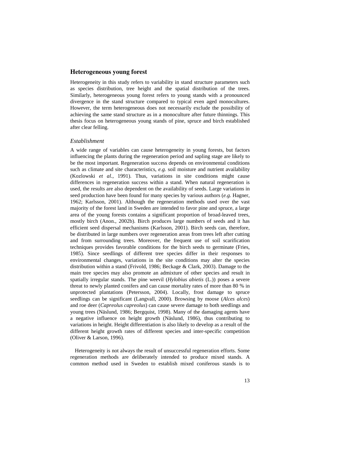#### **Heterogeneous young forest**

Heterogeneity in this study refers to variability in stand structure parameters such as species distribution, tree height and the spatial distribution of the trees. Similarly, heterogeneous young forest refers to young stands with a pronounced divergence in the stand structure compared to typical even aged monocultures. However, the term heterogeneous does not necessarily exclude the possibility of achieving the same stand structure as in a monoculture after future thinnings. This thesis focus on heterogeneous young stands of pine, spruce and birch established after clear felling.

#### *Establishment*

A wide range of variables can cause heterogeneity in young forests, but factors influencing the plants during the regeneration period and sapling stage are likely to be the most important. Regeneration success depends on environmental conditions such as climate and site characteristics, *e.g.* soil moisture and nutrient availability (Kozlowski *et al.*, 1991). Thus, variations in site conditions might cause differences in regeneration success within a stand. When natural regeneration is used, the results are also dependent on the availability of seeds. Large variations in seed production have been found for many species by various authors (*e.g.* Hagner, 1962; Karlsson, 2001). Although the regeneration methods used over the vast majority of the forest land in Sweden are intended to favor pine and spruce, a large area of the young forests contains a significant proportion of broad-leaved trees, mostly birch (Anon., 2002b). Birch produces large numbers of seeds and it has efficient seed dispersal mechanisms (Karlsson, 2001). Birch seeds can, therefore, be distributed in large numbers over regeneration areas from trees left after cutting and from surrounding trees. Moreover, the frequent use of soil scarification techniques provides favorable conditions for the birch seeds to germinate (Fries, 1985). Since seedlings of different tree species differ in their responses to environmental changes, variations in the site conditions may alter the species distribution within a stand (Frivold, 1986; Beckage & Clark, 2003). Damage to the main tree species may also promote an admixture of other species and result in spatially irregular stands. The pine weevil (*Hylobius abietis* (L.)) poses a severe threat to newly planted conifers and can cause mortality rates of more than 80 % in unprotected plantations (Petersson, 2004). Locally, frost damage to spruce seedlings can be significant (Langvall, 2000). Browsing by moose (*Alces alces*) and roe deer (*Capreolus capreolus*) can cause severe damage to both seedlings and young trees (Näslund, 1986; Bergquist, 1998). Many of the damaging agents have a negative influence on height growth (Näslund, 1986), thus contributing to variations in height. Height differentiation is also likely to develop as a result of the different height growth rates of different species and inter-specific competition (Oliver & Larson, 1996).

Heterogeneity is not always the result of unsuccessful regeneration efforts. Some regeneration methods are deliberately intended to produce mixed stands. A common method used in Sweden to establish mixed coniferous stands is to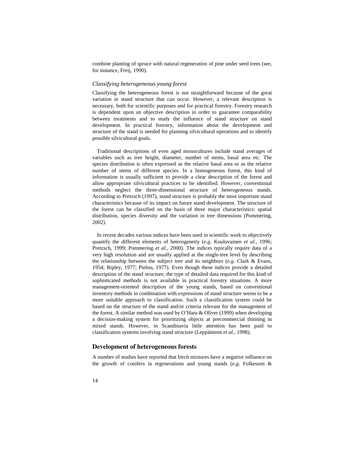combine planting of spruce with natural regeneration of pine under seed trees (see, for instance, Freij, 1990).

#### *Classifying heterogeneous young forest*

Classifying the heterogeneous forest is not straightforward because of the great variation in stand structure that can occur. However, a relevant description is necessary, both for scientific purposes and for practical forestry. Forestry research is dependent upon an objective description in order to guarantee comparability between treatments and to study the influence of stand structure on stand development. In practical forestry, information about the development and structure of the stand is needed for planning silvicultural operations and to identify possible silvicultural goals.

Traditional descriptions of even aged monocultures include stand averages of variables such as tree height, diameter, number of stems, basal area etc. The species distribution is often expressed as the relative basal area or as the relative number of stems of different species. In a homogeneous forest, this kind of information is usually sufficient to provide a clear description of the forest and allow appropriate silvicultural practices to be identified. However, conventional methods neglect the three-dimensional structure of heterogeneous stands. According to Pretzsch (1997), stand structure is probably the most important stand characteristics because of its impact on future stand development. The structure of the forest can be classified on the basis of three major characteristics: spatial distribution, species diversity and the variation in tree dimensions (Pommering, 2002).

In recent decades various indices have been used in scientific work to objectively quantify the different elements of heterogeneity (*e.g.* Kuuluvainen *et al.*, 1996; Pretzsch, 1999; Pommering *et al.*, 2000). The indices typically require data of a very high resolution and are usually applied at the single-tree level by describing the relationship between the subject tree and its neighbors (*e.g.* Clark & Evans, 1954; Ripley, 1977; Pielou, 1977). Even though these indices provide a detailed description of the stand structure, the type of detailed data required for this kind of sophisticated methods is not available in practical forestry situations. A more management-oriented description of the young stands, based on conventional inventory methods in combination with expressions of stand structure seems to be a more suitable approach to classification. Such a classification system could be based on the structure of the stand and/or criteria relevant for the management of the forest. A similar method was used by O'Hara & Oliver (1999) when developing a decision-making system for prioritizing objects at precommercial thinning in mixed stands. However, in Scandinavia little attention has been paid to classification systems involving stand structure (Leppäniemi *et al.*, 1998).

#### **Development of heterogeneous forests**

A number of studies have reported that birch mixtures have a negative influence on the growth of conifers in regenerations and young stands (*e.g.* Folkesson &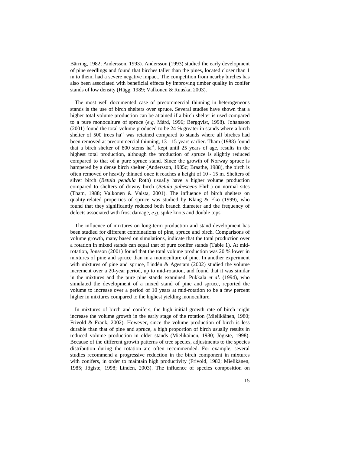Bärring, 1982; Andersson, 1993). Andersson (1993) studied the early development of pine seedlings and found that birches taller than the pines, located closer than 1 m to them, had a severe negative impact. The competition from nearby birches has also been associated with beneficial effects by improving timber quality in conifer stands of low density (Hägg, 1989; Valkonen & Ruuska, 2003).

The most well documented case of precommercial thinning in heterogeneous stands is the use of birch shelters over spruce. Several studies have shown that a higher total volume production can be attained if a birch shelter is used compared to a pure monoculture of spruce (*e.g.* Mård, 1996; Bergqvist, 1998). Johansson (2001) found the total volume produced to be 24 % greater in stands where a birch shelter of 500 trees ha<sup>-1</sup> was retained compared to stands where all birches had been removed at precommercial thinning, 13 - 15 years earlier. Tham (1988) found that a birch shelter of 800 stems  $ha^{-1}$ , kept until 25 years of age, results in the highest total production, although the production of spruce is slightly reduced compared to that of a pure spruce stand. Since the growth of Norway spruce is hampered by a dense birch shelter (Andersson, 1985c; Braathe, 1988), the birch is often removed or heavily thinned once it reaches a height of 10 - 15 m. Shelters of silver birch (*Betula pendula* Roth) usually have a higher volume production compared to shelters of downy birch (*Betula pubescens* Ehrh.) on normal sites (Tham, 1988; Valkonen & Valsta, 2001). The influence of birch shelters on quality-related properties of spruce was studied by Klang  $\&$  Ekö (1999), who found that they significantly reduced both branch diameter and the frequency of defects associated with frost damage, *e.g.* spike knots and double tops.

The influence of mixtures on long-term production and stand development has been studied for different combinations of pine, spruce and birch. Comparisons of volume growth, many based on simulations, indicate that the total production over a rotation in mixed stands can equal that of pure conifer stands (Table 1). At midrotation, Jonsson (2001) found that the total volume production was 20 % lower in mixtures of pine and spruce than in a monoculture of pine. In another experiment with mixtures of pine and spruce, Lindén & Agestam (2002) studied the volume increment over a 20-year period, up to mid-rotation, and found that it was similar in the mixtures and the pure pine stands examined. Pukkala *et al.* (1994), who simulated the development of a mixed stand of pine and spruce, reported the volume to increase over a period of 10 years at mid-rotation to be a few percent higher in mixtures compared to the highest yielding monoculture.

In mixtures of birch and conifers, the high initial growth rate of birch might increase the volume growth in the early stage of the rotation (Mielikäinen, 1980; Frivold & Frank, 2002). However, since the volume production of birch is less durable than that of pine and spruce, a high proportion of birch usually results in reduced volume production in older stands (Mielikäinen, 1980; Jõgiste, 1998). Because of the different growth patterns of tree species, adjustments to the species distribution during the rotation are often recommended. For example, several studies recommend a progressive reduction in the birch component in mixtures with conifers, in order to maintain high productivity (Frivold, 1982; Mielikänen, 1985; Jõgiste, 1998; Lindén, 2003). The influence of species composition on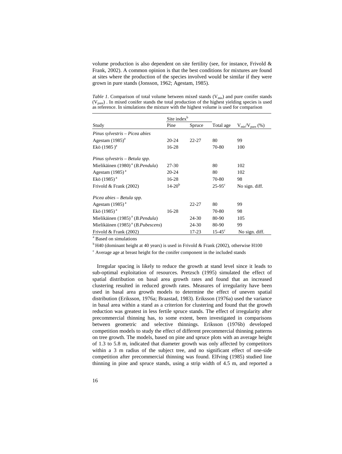volume production is also dependent on site fertility (see, for instance, Frivold  $\&$ Frank, 2002). A common opinion is that the best conditions for mixtures are found at sites where the production of the species involved would be similar if they were grown in pure stands (Jonsson, 1962; Agestam, 1985).

|                                                        | Site index <sup>b</sup> |        |                   |                        |
|--------------------------------------------------------|-------------------------|--------|-------------------|------------------------|
| Study                                                  | Pine                    | Spruce | Total age         | $V_{mix}/V_{pure}$ (%) |
| Pinus sylvestris – Picea abies                         |                         |        |                   |                        |
| Agestam $(1985)^{a}$                                   | $20 - 24$               | 22-27  | 80                | 99                     |
| Ekö (1985) <sup>a</sup>                                | 16-28                   |        | 70-80             | 100                    |
| Pinus sylvestris – Betula spp.                         |                         |        |                   |                        |
| Mielikäinen (1980) <sup>a</sup> ( <i>B.Pendula</i> )   | 27-30                   |        | 80                | 102                    |
| Agestam $(1985)^{a}$                                   | 20-24                   |        | 80                | 102                    |
| Ekö $(1985)^{a}$                                       | 16-28                   |        | 70-80             | 98                     |
| Frivold & Frank (2002)                                 | $14 - 20^{b}$           |        | $25 - 95^{\circ}$ | No sign. diff.         |
| Picea abies – Betula spp.                              |                         |        |                   |                        |
| Agestam $(1985)^{a}$                                   |                         | 22-27  | 80                | 99                     |
| Ekö $(1985)^{a}$                                       | 16-28                   |        | 70-80             | 98                     |
| Mielikäinen (1985) <sup>a</sup> ( <i>B.Pendula</i> )   |                         | 24-30  | 80-90             | 105                    |
| Mielikäinen (1985) <sup>a</sup> ( <i>B.Pubescens</i> ) |                         | 24-30  | 80-90             | 99                     |
| Frivold $&$ Frank (2002)                               |                         | 17-23  | $15 - 45^{\circ}$ | No sign. diff.         |

*Table 1*. Comparison of total volume between mixed stands  $(V_{mix})$  and pure conifer stands  $(V<sub>nure</sub>)$ . In mixed conifer stands the total production of the highest yielding species is used as reference. In simulations the mixture with the highest volume is used for comparison

a Based on simulations

 $b$  H40 (dominant height at 40 years) is used in Frivold & Frank (2002), otherwise H100

<sup>c</sup> Average age at breast height for the conifer component in the included stands

Irregular spacing is likely to reduce the growth at stand level since it leads to sub-optimal exploitation of resources. Pretzsch (1995) simulated the effect of spatial distribution on basal area growth rates and found that an increased clustering resulted in reduced growth rates. Measures of irregularity have been used in basal area growth models to determine the effect of uneven spatial distribution (Eriksson, 1976a; Braastad, 1983). Eriksson (1976a) used the variance in basal area within a stand as a criterion for clustering and found that the growth reduction was greatest in less fertile spruce stands. The effect of irregularity after precommercial thinning has, to some extent, been investigated in comparisons between geometric and selective thinnings. Eriksson (1976b) developed competition models to study the effect of different precommercial thinning patterns on tree growth. The models, based on pine and spruce plots with an average height of 1.3 to 5.8 m, indicated that diameter growth was only affected by competitors within a 3 m radius of the subject tree, and no significant effect of one-side competition after precommercial thinning was found. Elfving (1985) studied line thinning in pine and spruce stands, using a strip width of 4.5 m, and reported a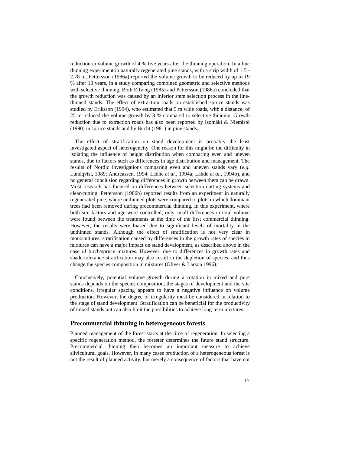reduction in volume growth of 4 % five years after the thinning operation. In a line thinning experiment in naturally regenerated pine stands, with a strip width of 1.5 - 2.78 m, Pettersson (1986a) reported the volume growth to be reduced by up to 19 % after 10 years, in a study comparing combined geometric and selective methods with selective thinning. Both Elfving (1985) and Pettersson (1986a) concluded that the growth reduction was caused by an inferior stem selection process in the linethinned stands. The effect of extraction roads on established spruce stands was studied by Eriksson (1994), who estimated that 5 m wide roads, with a distance, of 25 m reduced the volume growth by 8 % compared to selective thinning. Growth reduction due to extraction roads has also been reported by Isomäki & Niemistö (1990) in spruce stands and by Bucht (1981) in pine stands.

The effect of stratification on stand development is probably the least investigated aspect of heterogeneity. One reason for this might be the difficulty in isolating the influence of height distribution when comparing even and uneven stands, due to factors such as differences in age distribution and management. The results of Nordic investigations comparing even and uneven stands vary (*e.g.* Lundqvist, 1989; Andreassen, 1994; Lädhe *et al.*, 1994a; Lähde *et al.*, 1994b), and no general conclusion regarding differences in growth between them can be drawn. Most research has focused on differences between selection cutting systems and clear-cutting. Pettersson (1986b) reported results from an experiment in naturally regenerated pine, where unthinned plots were compared to plots in which dominant trees had been removed during precommercial thinning. In this experiment, where both site factors and age were controlled, only small differences in total volume were found between the treatments at the time of the first commercial thinning. However, the results were biased due to significant levels of mortality in the unthinned stands. Although the effect of stratification is not very clear in monocultures, stratification caused by differences in the growth rates of species in mixtures can have a major impact on stand development, as described above in the case of birch/spruce mixtures. However, due to differences in growth rates and shade-tolerance stratification may also result in the depletion of species, and thus change the species composition in mixtures (Oliver & Larson 1996).

Conclusively, potential volume growth during a rotation in mixed and pure stands depends on the species composition, the stages of development and the site conditions. Irregular spacing appears to have a negative influence on volume production. However, the degree of irregularity must be considered in relation to the stage of stand development. Stratification can be beneficial for the productivity of mixed stands but can also limit the possibilities to achieve long-term mixtures.

#### **Precommercial thinning in heterogeneous forests**

Planned management of the forest starts at the time of regeneration. In selecting a specific regeneration method, the forester determines the future stand structure. Precommercial thinning then becomes an important measure to achieve silvicultural goals. However, in many cases production of a heterogeneous forest is not the result of planned activity, but merely a consequence of factors that have not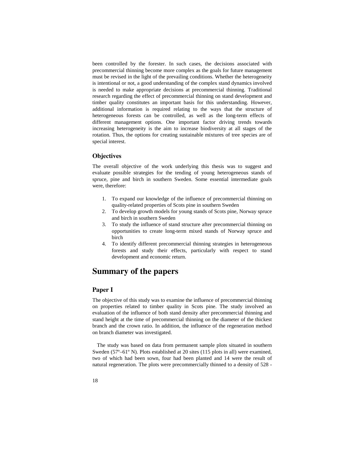been controlled by the forester. In such cases, the decisions associated with precommercial thinning become more complex as the goals for future management must be revised in the light of the prevailing conditions. Whether the heterogeneity is intentional or not, a good understanding of the complex stand dynamics involved is needed to make appropriate decisions at precommercial thinning. Traditional research regarding the effect of precommercial thinning on stand development and timber quality constitutes an important basis for this understanding. However, additional information is required relating to the ways that the structure of heterogeneous forests can be controlled, as well as the long-term effects of different management options. One important factor driving trends towards increasing heterogeneity is the aim to increase biodiversity at all stages of the rotation. Thus, the options for creating sustainable mixtures of tree species are of special interest.

## **Objectives**

The overall objective of the work underlying this thesis was to suggest and evaluate possible strategies for the tending of young heterogeneous stands of spruce, pine and birch in southern Sweden. Some essential intermediate goals were, therefore:

- 1. To expand our knowledge of the influence of precommercial thinning on quality-related properties of Scots pine in southern Sweden
- 2. To develop growth models for young stands of Scots pine, Norway spruce and birch in southern Sweden
- 3. To study the influence of stand structure after precommercial thinning on opportunities to create long-term mixed stands of Norway spruce and birch
- 4. To identify different precommercial thinning strategies in heterogeneous forests and study their effects, particularly with respect to stand development and economic return.

# **Summary of the papers**

### **Paper I**

The objective of this study was to examine the influence of precommercial thinning on properties related to timber quality in Scots pine. The study involved an evaluation of the influence of both stand density after precommercial thinning and stand height at the time of precommercial thinning on the diameter of the thickest branch and the crown ratio. In addition, the influence of the regeneration method on branch diameter was investigated.

The study was based on data from permanent sample plots situated in southern Sweden (57º–61º N). Plots established at 20 sites (115 plots in all) were examined, two of which had been sown, four had been planted and 14 were the result of natural regeneration. The plots were precommercially thinned to a density of 528 -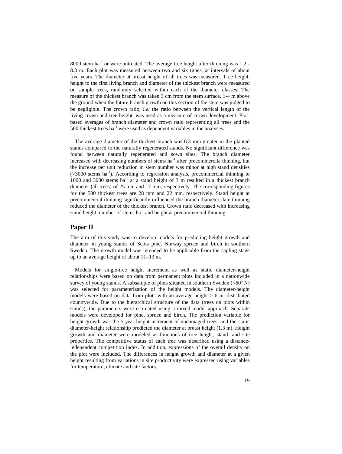$8000$  stem ha<sup>-1</sup> or were untreated. The average tree height after thinning was 1.2 -8.3 m. Each plot was measured between two and six times, at intervals of about five years. The diameter at breast height of all trees was measured. Tree height, height to the first living branch and diameter of the thickest branch were measured on sample trees, randomly selected within each of the diameter classes. The measure of the thickest branch was taken 3 cm from the stem surface, 1-4 m above the ground when the future branch growth on this section of the stem was judged to be negligible. The crown ratio, *i.e.* the ratio between the vertical length of the living crown and tree height, was used as a measure of crown development. Plotbased averages of branch diameter and crown ratio representing all trees and the 500 thickest trees  $ha^{-1}$  were used as dependent variables in the analyses.

The average diameter of the thickest branch was 6.3 mm greater in the planted stands compared to the naturally regenerated stands. No significant difference was found between naturally regenerated and sown sites. The branch diameter increased with decreasing numbers of stems  $ha^{-1}$  after precommercila thinning, but the increase per unit reduction in stem number was minor at high stand densities  $(>3000$  stems ha<sup>-1</sup>). According to regression analysis, precommercial thinning to 1000 and 3000 stems  $ha^{-1}$  at a stand height of 3 m resulted in a thickest branch diameter (all trees) of 25 mm and 17 mm, respectively. The corresponding figures for the 500 thickest trees are 28 mm and 22 mm, respectively. Stand height at precommercial thinning significantly influenced the branch diameter; late thinning reduced the diameter of the thickest branch. Crown ratio decreased with increasing stand height, number of stems  $ha^{-1}$  and height at precommercial thinning.

#### **Paper II**

The aim of this study was to develop models for predicting height growth and diameter in young stands of Scots pine, Norway spruce and birch in southern Sweden. The growth model was intended to be applicable from the sapling stage up to an average height of about 11–13 m.

Models for single-tree height increment as well as static diameter-height relationships were based on data from permanent plots included in a nationwide survey of young stands. A subsample of plots situated in southern Sweden  $(<60° \text{ N})$ was selected for parameterization of the height models. The diameter-height models were based on data from plots with an average height  $> 6$  m, distributed countrywide. Due to the hierarchical structure of the data (trees on plots within stands), the parameters were estimated using a mixed model approach. Separate models were developed for pine, spruce and birch. The prediction variable for height growth was the 5-year height increment of undamaged trees, and the static diameter-height relationship predicted the diameter at breast height (1.3 m). Height growth and diameter were modeled as functions of tree height, stand- and site properties. The competitive status of each tree was described using a distanceindependent competition index. In addition, expressions of the overall density on the plot were included. The differences in height growth and diameter at a given height resulting from variations in site productivity were expressed using variables for temperature, climate and site factors.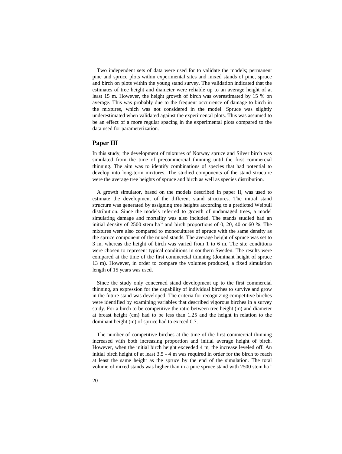Two independent sets of data were used for to validate the models; permanent pine and spruce plots within experimental sites and mixed stands of pine, spruce and birch on plots within the young stand survey. The validation indicated that the estimates of tree height and diameter were reliable up to an average height of at least 15 m. However, the height growth of birch was overestimated by 15 % on average. This was probably due to the frequent occurrence of damage to birch in the mixtures, which was not considered in the model. Spruce was slightly underestimated when validated against the experimental plots. This was assumed to be an effect of a more regular spacing in the experimental plots compared to the data used for parameterization.

#### **Paper III**

In this study, the development of mixtures of Norway spruce and Silver birch was simulated from the time of precommercial thinning until the first commercial thinning. The aim was to identify combinations of species that had potential to develop into long-term mixtures. The studied components of the stand structure were the average tree heights of spruce and birch as well as species distribution.

A growth simulator, based on the models described in paper II, was used to estimate the development of the different stand structures. The initial stand structure was generated by assigning tree heights according to a predicted Weibull distribution. Since the models referred to growth of undamaged trees, a model simulating damage and mortality was also included. The stands studied had an initial density of  $2500$  stem ha<sup>-1</sup> and birch proportions of 0, 20, 40 or 60 %. The mixtures were also compared to monocultures of spruce with the same density as the spruce component of the mixed stands. The average height of spruce was set to 3 m, whereas the height of birch was varied from 1 to 6 m. The site conditions were chosen to represent typical conditions in southern Sweden. The results were compared at the time of the first commercial thinning (dominant height of spruce 13 m). However, in order to compare the volumes produced, a fixed simulation length of 15 years was used.

Since the study only concerned stand development up to the first commercial thinning, an expression for the capability of individual birches to survive and grow in the future stand was developed. The criteria for recognizing competitive birches were identified by examining variables that described vigorous birches in a survey study. For a birch to be competitive the ratio between tree height (m) and diameter at breast height (cm) had to be less than 1.25 and the height in relation to the dominant height (m) of spruce had to exceed 0.7.

The number of competitive birches at the time of the first commercial thinning increased with both increasing proportion and initial average height of birch. However, when the initial birch height exceeded 4 m, the increase leveled off. An initial birch height of at least 3.5 - 4 m was required in order for the birch to reach at least the same height as the spruce by the end of the simulation. The total volume of mixed stands was higher than in a pure spruce stand with 2500 stem ha<sup>-1</sup>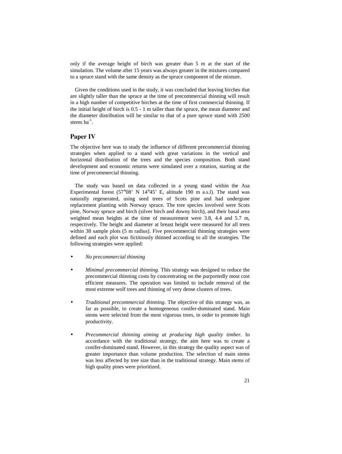only if the average height of birch was greater than 5 m at the start of the simulation. The volume after 15 years was always greater in the mixtures compared to a spruce stand with the same density as the spruce component of the mixture.

Given the conditions used in the study, it was concluded that leaving birches that are slightly taller than the spruce at the time of precommercial thinning will result in a high number of competitive birches at the time of first commercial thinning. If the initial height of birch is 0.5 - 1 m taller than the spruce, the mean diameter and the diameter distribution will be similar to that of a pure spruce stand with 2500 stems  $ha^{-1}$ .

## **Paper IV**

The objective here was to study the influence of different precommercial thinning strategies when applied to a stand with great variations in the vertical and horizontal distribution of the trees and the species composition. Both stand development and economic returns were simulated over a rotation, starting at the time of precommercial thinning.

The study was based on data collected in a young stand within the Asa Experimental forest (57°08' N 14°45' E, altitude 190 m a.s.l). The stand was naturally regenerated, using seed trees of Scots pine and had undergone replacement planting with Norway spruce. The tree species involved were Scots pine, Norway spruce and birch (silver birch and downy birch), and their basal area weighted mean heights at the time of measurement were 3.8, 4.4 and 5.7 m, respectively. The height and diameter at breast height were measured for all trees within 38 sample plots (5 m radius). Five precommercial thinning strategies were defined and each plot was fictitiously thinned according to all the strategies. The following strategies were applied:

- *No precommercial thinning*
- *Minimal precommercial thinning.* This strategy was designed to reduce the precommercial thinning costs by concentrating on the purportedly most cost efficient measures. The operation was limited to include removal of the most extreme wolf trees and thinning of very dense clusters of trees.
- *Traditional precommercial thinning*. The objective of this strategy was, as far as possible, to create a homogeneous conifer-dominated stand. Main stems were selected from the most vigorous trees, in order to promote high productivity.
- *Precommercial thinning aiming at producing high quality timber.* In accordance with the traditional strategy, the aim here was to create a conifer-dominated stand. However, in this strategy the quality aspect was of greater importance than volume production. The selection of main stems was less affected by tree size than in the traditional strategy. Main stems of high quality pines were prioritized.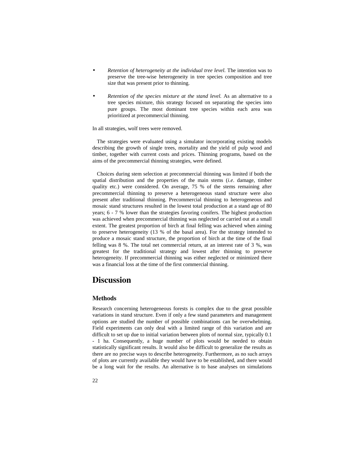- *Retention of heterogeneity at the individual tree level.* The intention was to preserve the tree-wise heterogeneity in tree species composition and tree size that was present prior to thinning.
- *Retention of the species mixture at the stand level.* As an alternative to a tree species mixture, this strategy focused on separating the species into pure groups. The most dominant tree species within each area was prioritized at precommercial thinning.

In all strategies, wolf trees were removed.

The strategies were evaluated using a simulator incorporating existing models describing the growth of single trees, mortality and the yield of pulp wood and timber, together with current costs and prices. Thinning programs, based on the aims of the precommercial thinning strategies, were defined.

Choices during stem selection at precommercial thinning was limited if both the spatial distribution and the properties of the main stems (*i.e*. damage, timber quality etc.) were considered. On average, 75 % of the stems remaining after precommercial thinning to preserve a heterogeneous stand structure were also present after traditional thinning. Precommercial thinning to heterogeneous and mosaic stand structures resulted in the lowest total production at a stand age of 80 years; 6 - 7 % lower than the strategies favoring conifers. The highest production was achieved when precommercial thinning was neglected or carried out at a small extent. The greatest proportion of birch at final felling was achieved when aiming to preserve heterogeneity (13 % of the basal area). For the strategy intended to produce a mosaic stand structure, the proportion of birch at the time of the final felling was 8 %. The total net commercial return, at an interest rate of 3 %, was greatest for the traditional strategy and lowest after thinning to preserve heterogeneity. If precommercial thinning was either neglected or minimized there was a financial loss at the time of the first commercial thinning.

# **Discussion**

### **Methods**

Research concerning heterogeneous forests is complex due to the great possible variations in stand structure. Even if only a few stand parameters and management options are studied the number of possible combinations can be overwhelming. Field experiments can only deal with a limited range of this variation and are difficult to set up due to initial variation between plots of normal size, typically 0.1 - 1 ha. Consequently, a huge number of plots would be needed to obtain statistically significant results. It would also be difficult to generalize the results as there are no precise ways to describe heterogeneity. Furthermore, as no such arrays of plots are currently available they would have to be established, and there would be a long wait for the results. An alternative is to base analyses on simulations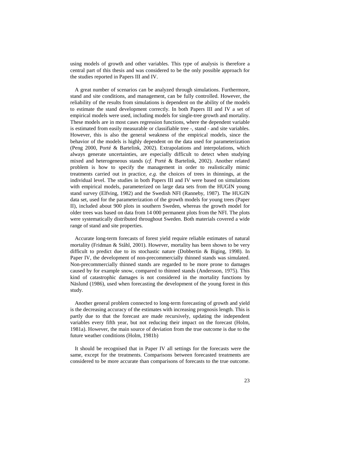using models of growth and other variables. This type of analysis is therefore a central part of this thesis and was considered to be the only possible approach for the studies reported in Papers III and IV.

A great number of scenarios can be analyzed through simulations. Furthermore, stand and site conditions, and management, can be fully controlled. However, the reliability of the results from simulations is dependent on the ability of the models to estimate the stand development correctly. In both Papers III and IV a set of empirical models were used, including models for single-tree growth and mortality. These models are in most cases regression functions, where the dependent variable is estimated from easily measurable or classifiable tree -, stand - and site variables. However, this is also the general weakness of the empirical models, since the behavior of the models is highly dependent on the data used for parameterization (Peng 2000, Porté & Bartelink, 2002). Extrapolations and interpolations, which always generate uncertainties, are especially difficult to detect when studying mixed and heterogeneous stands (*cf.* Porté & Bartelink, 2002). Another related problem is how to specify the management in order to realistically mimic treatments carried out in practice, *e.g.* the choices of trees in thinnings, at the individual level. The studies in both Papers III and IV were based on simulations with empirical models, parameterized on large data sets from the HUGIN young stand survey (Elfving, 1982) and the Swedish NFI (Ranneby, 1987). The HUGIN data set, used for the parameterization of the growth models for young trees (Paper II), included about 900 plots in southern Sweden, whereas the growth model for older trees was based on data from 14 000 permanent plots from the NFI. The plots were systematically distributed throughout Sweden. Both materials covered a wide range of stand and site properties.

Accurate long-term forecasts of forest yield require reliable estimates of natural mortality (Fridman & Ståhl, 2001). However, mortality has been shown to be very difficult to predict due to its stochastic nature (Dobbertin & Biging, 1998). In Paper IV, the development of non-precommercially thinned stands was simulated. Non-precommercially thinned stands are regarded to be more prone to damages caused by for example snow, compared to thinned stands (Andersson, 1975). This kind of catastrophic damages is not considered in the mortality functions by Näslund (1986), used when forecasting the development of the young forest in this study.

Another general problem connected to long-term forecasting of growth and yield is the decreasing accuracy of the estimates with increasing prognosis length. This is partly due to that the forecast are made recursively, updating the independent variables every fifth year, but not reducing their impact on the forecast (Holm, 1981a). However, the main source of deviation from the true outcome is due to the future weather conditions (Holm, 1981b)

It should be recognised that in Paper IV all settings for the forecasts were the same, except for the treatments. Comparisons between forecasted treatments are considered to be more accurate than comparisons of forecasts to the true outcome.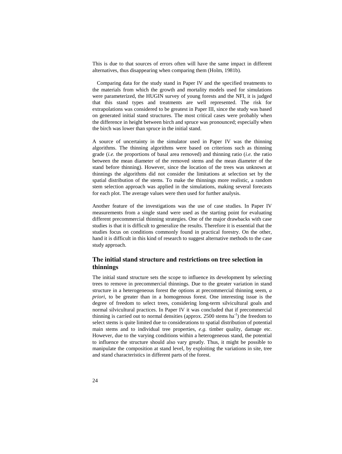This is due to that sources of errors often will have the same impact in different alternatives, thus disappearing when comparing them (Holm, 1981b).

Comparing data for the study stand in Paper IV and the specified treatments to the materials from which the growth and mortality models used for simulations were parameterized, the HUGIN survey of young forests and the NFI, it is judged that this stand types and treatments are well represented. The risk for extrapolations was considered to be greatest in Paper III, since the study was based on generated initial stand structures. The most critical cases were probably when the difference in height between birch and spruce was pronounced; especially when the birch was lower than spruce in the initial stand.

A source of uncertainty in the simulator used in Paper IV was the thinning algorithms. The thinning algorithms were based on criterions such as thinning grade (*i.e.* the proportions of basal area removed) and thinning ratio (*i.e.* the ratio between the mean diameter of the removed stems and the mean diameter of the stand before thinning). However, since the location of the trees was unknown at thinnings the algorithms did not consider the limitations at selection set by the spatial distribution of the stems. To make the thinnings more realistic, a random stem selection approach was applied in the simulations, making several forecasts for each plot. The average values were then used for further analysis.

Another feature of the investigations was the use of case studies. In Paper IV measurements from a single stand were used as the starting point for evaluating different precommercial thinning strategies. One of the major drawbacks with case studies is that it is difficult to generalize the results. Therefore it is essential that the studies focus on conditions commonly found in practical forestry. On the other, hand it is difficult in this kind of research to suggest alternative methods to the case study approach.

# **The initial stand structure and restrictions on tree selection in thinnings**

The initial stand structure sets the scope to influence its development by selecting trees to remove in precommercial thinnings. Due to the greater variation in stand structure in a heterogeneous forest the options at precommercial thinning seem, *a priori*, to be greater than in a homogenous forest. One interesting issue is the degree of freedom to select trees, considering long-term silvicultural goals and normal silvicultural practices. In Paper IV it was concluded that if precommercial thinning is carried out to normal densities (approx. 2500 stems  $ha^{-1}$ ) the freedom to select stems is quite limited due to considerations to spatial distribution of potential main stems and to individual tree properties, *e.g.* timber quality, damage etc. However, due to the varying conditions within a heterogeneous stand, the potential to influence the structure should also vary greatly. Thus, it might be possible to manipulate the composition at stand level, by exploiting the variations in site, tree and stand characteristics in different parts of the forest.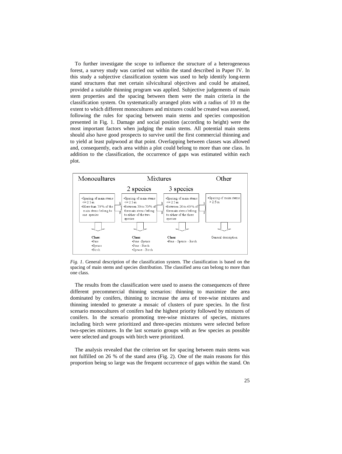To further investigate the scope to influence the structure of a heterogeneous forest, a survey study was carried out within the stand described in Paper IV. In this study a subjective classification system was used to help identify long-term stand structures that met certain silvicultural objectives and could be attained, provided a suitable thinning program was applied. Subjective judgements of main stem properties and the spacing between them were the main criteria in the classification system. On systematically arranged plots with a radius of 10 m the extent to which different monocultures and mixtures could be created was assessed, following the rules for spacing between main stems and species composition presented in Fig. 1. Damage and social position (according to height) were the most important factors when judging the main stems. All potential main stems should also have good prospects to survive until the first commercial thinning and to yield at least pulpwood at that point. Overlapping between classes was allowed and, consequently, each area within a plot could belong to more than one class. In addition to the classification, the occurrence of gaps was estimated within each plot.



*Fig. 1*. General description of the classification system. The classification is based on the spacing of main stems and species distribution. The classified area can belong to more than one class.

The results from the classification were used to assess the consequences of three different precommercial thinning scenarios: thinning to maximize the area dominated by conifers, thinning to increase the area of tree-wise mixtures and thinning intended to generate a mosaic of clusters of pure species. In the first scenario monocultures of conifers had the highest priority followed by mixtures of conifers. In the scenario promoting tree-wise mixtures of species, mixtures including birch were prioritized and three-species mixtures were selected before two-species mixtures. In the last scenario groups with as few species as possible were selected and groups with birch were prioritized.

The analysis revealed that the criterion set for spacing between main stems was not fulfilled on 26 % of the stand area (Fig. 2). One of the main reasons for this proportion being so large was the frequent occurrence of gaps within the stand. On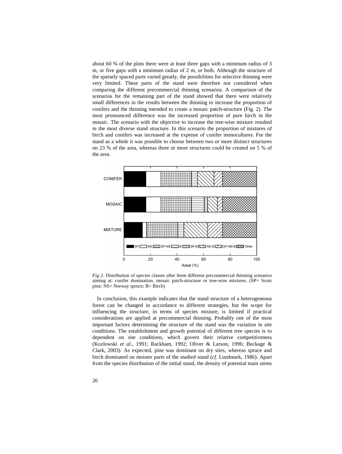about 60 % of the plots there were at least three gaps with a minimum radius of 3 m, or five gaps with a minimum radius of 2 m, or both. Although the structure of the sparsely spaced parts varied greatly, the possibilities for selective thinning were very limited. These parts of the stand were therefore not considered when comparing the different precommercial thinning scenarios. A comparison of the scenarios for the remaining part of the stand showed that there were relatively small differences in the results between the thinning to increase the proportion of conifers and the thinning intended to create a mosaic patch-structure (Fig. 2). The most pronounced difference was the increased proportion of pure birch in the mosaic. The scenario with the objective to increase the tree-wise mixture resulted in the most diverse stand structure. In this scenario the proportion of mixtures of birch and conifers was increased at the expense of conifer monocultures. For the stand as a whole it was possible to choose between two or more distinct structures on 23 % of the area, whereas three or more structures could be created on 5 % of the area.



*Fig 2*. Distribution of species classes after three different precommercial thinning scenarios aiming at: conifer domination, mosaic patch-structure or tree-wise mixtures. (SP= Scots pine; NS= Norway spruce; B= Birch)

In conclusion, this example indicates that the stand structure of a heterogeneous forest can be changed in accordance to different strategies, but the scope for influencing the structure, in terms of species mixture, is limited if practical considerations are applied at precommercial thinning. Probably one of the most important factors determining the structure of the stand was the variation in site conditions. The establishment and growth potential of different tree species is to dependent on site conditions, which govern their relative competitiveness (Kozlowski *et al.*, 1991; Rackham, 1992; Oliver & Larson, 1996; Beckage & Clark, 2003). As expected, pine was dominant on dry sites, whereas spruce and birch dominated on moister parts of the studied stand (*cf.* Lundmark, 1986). Apart from the species distribution of the initial stand, the density of potential main stems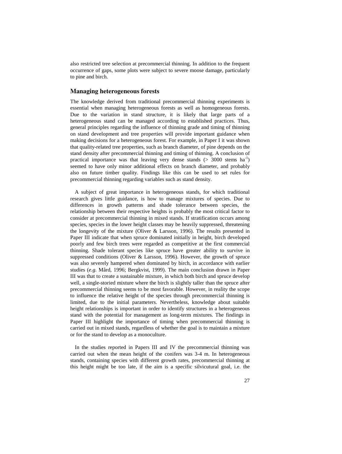also restricted tree selection at precommercial thinning. In addition to the frequent occurrence of gaps, some plots were subject to severe moose damage, particularly to pine and birch.

#### **Managing heterogeneous forests**

The knowledge derived from traditional precommercial thinning experiments is essential when managing heterogeneous forests as well as homogeneous forests. Due to the variation in stand structure, it is likely that large parts of a heterogeneous stand can be managed according to established practices. Thus, general principles regarding the influence of thinning grade and timing of thinning on stand development and tree properties will provide important guidance when making decisions for a heterogeneous forest. For example, in Paper I it was shown that quality-related tree properties, such as branch diameter, of pine depends on the stand density after precommercial thinning and timing of thinning. A conclusion of practical importance was that leaving very dense stands ( $>$  3000 stems ha<sup>-1</sup>) seemed to have only minor additional effects on branch diameter, and probably also on future timber quality. Findings like this can be used to set rules for precommercial thinning regarding variables such as stand density.

A subject of great importance in heterogeneous stands, for which traditional research gives little guidance, is how to manage mixtures of species. Due to differences in growth patterns and shade tolerance between species, the relationship between their respective heights is probably the most critical factor to consider at precommercial thinning in mixed stands. If stratification occurs among species, species in the lower height classes may be heavily suppressed, threatening the longevity of the mixture (Oliver & Larsson, 1996). The results presented in Paper III indicate that when spruce dominated initially in height, birch developed poorly and few birch trees were regarded as competitive at the first commercial thinning. Shade tolerant species like spruce have greater ability to survive in suppressed conditions (Oliver & Larsson, 1996). However, the growth of spruce was also severely hampered when dominated by birch, in accordance with earlier studies (*e.g.* Mård, 1996; Bergkvist, 1999). The main conclusion drawn in Paper III was that to create a sustainable mixture, in which both birch and spruce develop well, a single-storied mixture where the birch is slightly taller than the spruce after precommercial thinning seems to be most favorable. However, in reality the scope to influence the relative height of the species through precommercial thinning is limited, due to the initial parameters. Nevertheless, knowledge about suitable height relationships is important in order to identify structures in a heterogeneous stand with the potential for management as long-term mixtures. The findings in Paper III highlight the importance of timing when precommercial thinning is carried out in mixed stands, regardless of whether the goal is to maintain a mixture or for the stand to develop as a monoculture.

In the studies reported in Papers III and IV the precommercial thinning was carried out when the mean height of the conifers was 3-4 m. In heterogeneous stands, containing species with different growth rates, precommercial thinning at this height might be too late, if the aim is a specific silvicutural goal, i.e. the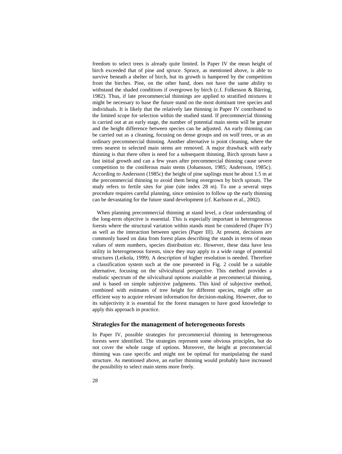freedom to select trees is already quite limited. In Paper IV the mean height of birch exceeded that of pine and spruce. Spruce, as mentioned above, is able to survive beneath a shelter of birch, but its growth is hampered by the competition from the birches. Pine, on the other hand, does not have the same ability to withstand the shaded conditions if overgrown by birch (c.f. Folkesson & Bärring, 1982). Thus, if late precommercial thinnings are applied to stratified mixtures it might be necessary to base the future stand on the most dominant tree species and individuals. It is likely that the relatively late thinning in Paper IV contributed to the limited scope for selection within the studied stand. If precommercial thinning is carried out at an early stage, the number of potential main stems will be greater and the height difference between species can be adjusted. An early thinning can be carried out as a cleaning, focusing on dense groups and on wolf trees, or as an ordinary precommercial thinning. Another alternative is point cleaning, where the trees nearest to selected main stems are removed. A major drawback with early thinning is that there often is need for a subsequent thinning. Birch sprouts have a fast initial growth and can a few years after precommercial thinning cause severe competition to the coniferous main stems (Johansson, 1985; Andersson, 1985c). According to Andersson (1985c) the height of pine saplings must be about 1.5 m at the precommercial thinning to avoid them being overgrown by birch sprouts. The study refers to fertile sites for pine (site index 28 m). To use a several steps procedure requires careful planning, since omission to follow up the early thinning can be devastating for the future stand development (cf. Karlsson et al., 2002).

When planning precommercial thinning at stand level, a clear understanding of the long-term objective is essential. This is especially important in heterogeneous forests where the structural variation within stands must be considered (Paper IV) as well as the interaction between species (Paper III). At present, decisions are commonly based on data from forest plans describing the stands in terms of mean values of stem numbers, species distribution etc. However, these data have less utility in heterogeneous forests, since they may apply to a wide range of potential structures (Leikola, 1999). A description of higher resolution is needed. Therefore a classification system such at the one presented in Fig. 2 could be a suitable alternative, focusing on the silvicultural perspective. This method provides a realistic spectrum of the silvicultural options available at precommercial thinning, and is based on simple subjective judgments. This kind of subjective method, combined with estimates of tree height for different species, might offer an efficient way to acquire relevant information for decision-making. However, due to its subjectivity it is essential for the forest managers to have good knowledge to apply this approach in practice.

#### **Strategies for the management of heterogeneous forests**

In Paper IV, possible strategies for precommercial thinning in heterogeneous forests were identified. The strategies represent some obvious principles, but do not cover the whole range of options. Moreover, the height at precommercial thinning was case specific and might not be optimal for manipulating the stand structure. As mentioned above, an earlier thinning would probably have increased the possibility to select main stems more freely.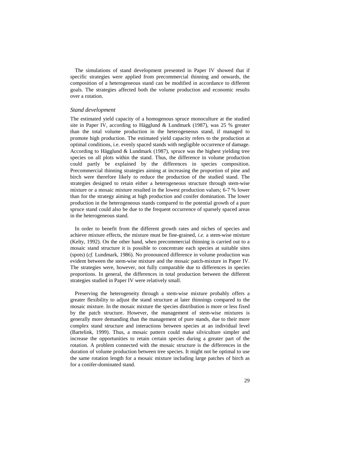The simulations of stand development presented in Paper IV showed that if specific strategies were applied from precommercial thinning and onwards, the composition of a heterogeneous stand can be modified in accordance to different goals. The strategies affected both the volume production and economic results over a rotation.

#### *Stand development*

The estimated yield capacity of a homogenous spruce monoculture at the studied site in Paper IV, according to Hägglund & Lundmark (1987), was 25 % greater than the total volume production in the heterogeneous stand, if managed to promote high production. The estimated yield capacity refers to the production at optimal conditions, i.e. evenly spaced stands with negligible occurrence of damage. According to Hägglund & Lundmark (1987), spruce was the highest yielding tree species on all plots within the stand. Thus, the difference in volume production could partly be explained by the differences in species composition. Precommercial thinning strategies aiming at increasing the proportion of pine and birch were therefore likely to reduce the production of the studied stand. The strategies designed to retain either a heterogeneous structure through stem-wise mixture or a mosaic mixture resulted in the lowest production values; 6-7 % lower than for the strategy aiming at high production and conifer domination. The lower production in the heterogeneous stands compared to the potential growth of a pure spruce stand could also be due to the frequent occurrence of sparsely spaced areas in the heterogeneous stand.

In order to benefit from the different growth rates and niches of species and achieve mixture effects, the mixture must be fine-grained, *i.e.* a stem-wise mixture (Kelty, 1992). On the other hand, when precommercial thinning is carried out to a mosaic stand structure it is possible to concentrate each species at suitable sites (spots) (*cf.* Lundmark, 1986). No pronounced difference in volume production was evident between the stem-wise mixture and the mosaic patch-mixture in Paper IV. The strategies were, however, not fully comparable due to differences in species proportions. In general, the differences in total production between the different strategies studied in Paper IV were relatively small.

Preserving the heterogeneity through a stem-wise mixture probably offers a greater flexibility to adjust the stand structure at later thinnings compared to the mosaic mixture. In the mosaic mixture the species distribution is more or less fixed by the patch structure. However, the management of stem-wise mixtures is generally more demanding than the management of pure stands, due to their more complex stand structure and interactions between species at an individual level (Bartelink, 1999). Thus, a mosaic pattern could make silviculture simpler and increase the opportunities to retain certain species during a greater part of the rotation. A problem connected with the mosaic structure is the differences in the duration of volume production between tree species. It might not be optimal to use the same rotation length for a mosaic mixture including large patches of birch as for a conifer-dominated stand.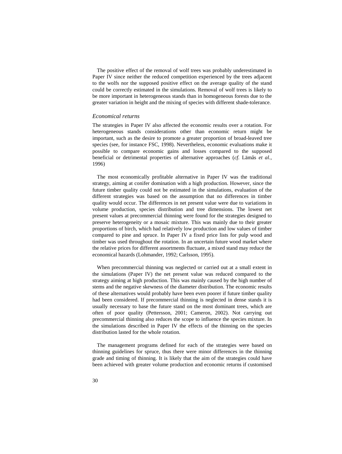The positive effect of the removal of wolf trees was probably underestimated in Paper IV since neither the reduced competition experienced by the trees adjacent to the wolfs nor the supposed positive effect on the average quality of the stand could be correctly estimated in the simulations. Removal of wolf trees is likely to be more important in heterogeneous stands than in homogeneous forests due to the greater variation in height and the mixing of species with different shade-tolerance.

#### *Economical returns*

The strategies in Paper IV also affected the economic results over a rotation. For heterogeneous stands considerations other than economic return might be important, such as the desire to promote a greater proportion of broad-leaved tree species (see, for instance FSC, 1998). Nevertheless, economic evaluations make it possible to compare economic gains and losses compared to the supposed beneficial or detrimental properties of alternative approaches (*cf.* Lämås *et al.*, 1996)

The most economically profitable alternative in Paper IV was the traditional strategy, aiming at conifer domination with a high production. However, since the future timber quality could not be estimated in the simulations, evaluation of the different strategies was based on the assumption that no differences in timber quality would occur. The differences in net present value were due to variations in volume production, species distribution and tree dimensions. The lowest net present values at precommercial thinning were found for the strategies designed to preserve heterogeneity or a mosaic mixture. This was mainly due to their greater proportions of birch, which had relatively low production and low values of timber compared to pine and spruce. In Paper IV a fixed price lists for pulp wood and timber was used throughout the rotation. In an uncertain future wood market where the relative prices for different assortments fluctuate, a mixed stand may reduce the economical hazards (Lohmander, 1992; Carlsson, 1995).

When precommercial thinning was neglected or carried out at a small extent in the simulations (Paper IV) the net present value was reduced compared to the strategy aiming at high production. This was mainly caused by the high number of stems and the negative skewness of the diameter distribution. The economic results of these alternatives would probably have been even poorer if future timber quality had been considered. If precommercial thinning is neglected in dense stands it is usually necessary to base the future stand on the most dominant trees, which are often of poor quality (Pettersson, 2001; Cameron, 2002). Not carrying out precommercial thinning also reduces the scope to influence the species mixture. In the simulations described in Paper IV the effects of the thinning on the species distribution lasted for the whole rotation.

The management programs defined for each of the strategies were based on thinning guidelines for spruce, thus there were minor differences in the thinning grade and timing of thinning. It is likely that the aim of the strategies could have been achieved with greater volume production and economic returns if customised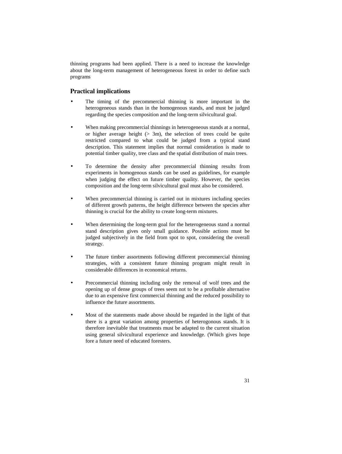thinning programs had been applied. There is a need to increase the knowledge about the long-term management of heterogeneous forest in order to define such programs

## **Practical implications**

- The timing of the precommercial thinning is more important in the heterogeneous stands than in the homogenous stands, and must be judged regarding the species composition and the long-term silvicultural goal.
- When making precommercial thinnings in heterogeneous stands at a normal, or higher average height  $(> 3m)$ , the selection of trees could be quite restricted compared to what could be judged from a typical stand description. This statement implies that normal consideration is made to potential timber quality, tree class and the spatial distribution of main trees.
- To determine the density after precommercial thinning results from experiments in homogenous stands can be used as guidelines, for example when judging the effect on future timber quality. However, the species composition and the long-term silvicultural goal must also be considered.
- When precommercial thinning is carried out in mixtures including species of different growth patterns, the height difference between the species after thinning is crucial for the ability to create long-term mixtures.
- When determining the long-term goal for the heterogeneous stand a normal stand description gives only small guidance. Possible actions must be judged subjectively in the field from spot to spot, considering the overall strategy.
- The future timber assortments following different precommercial thinning strategies, with a consistent future thinning program might result in considerable differences in economical returns.
- Precommercial thinning including only the removal of wolf trees and the opening up of dense groups of trees seem not to be a profitable alternative due to an expensive first commercial thinning and the reduced possibility to influence the future assortments.
- Most of the statements made above should be regarded in the light of that there is a great variation among properties of heterogonous stands. It is therefore inevitable that treatments must be adapted to the current situation using general silvicultural experience and knowledge. (Which gives hope fore a future need of educated foresters.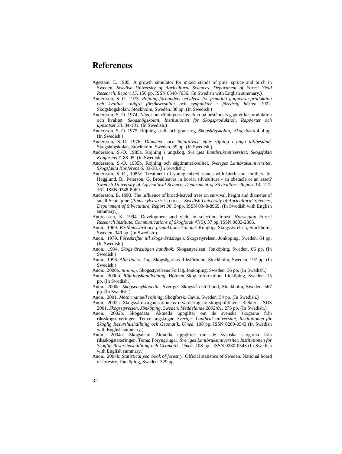# **References**

- Agestam, E. 1985. A growth simulator for mixed stands of pine, spruce and birch in Sweden. *Swedish University of Agricultural Sciences, Department of Forest Yield Research, Report 15*. 150 pp. ISSN 0348-7636. (In Swedish with English summary.)
- Andersson, S.-O. 1973. *Röjningsförbandets betydelse för framtida gagnvirkesproduktion och kvalitet : några försöksresultat och synpunkter : föredrag hösten 1972*. Skogshögskolan, Stockholm, Sweden. 38 pp. (In Swedish.)
- Andersson, S.-O. 1974. Något om röjningens inverkan på beståndets gagnvirkesproduktion och kvalitet. *Skogshögskolan, Institutionen för Skogsproduktion, Rapporter och uppsatser 33*. 84-101. (In Swedish.)
- Andersson, S.-O. 1975. Röjning i tall- och granskog. *Skogshögskolan, Skogsfakta 4*. 4 pp. (In Swedish.)
- Andersson, S.-O. 1976. *Diameter- och höjdtillväxt efter röjning i unga tallbestånd*. Skogshögskolan, Stockholm, Sweden. 89 pp. (In Swedish.)
- Andersson, S.-O. 1985a. Röjning i ungskog. *Sveriges Lantbruksuniversitet, Skogsfakta Konferens 7*. 88-95. (In Swedish.)
- Andersson, S.-O. 1985b. Röjning och sågtimmerkvalitet. *Sveriges Lantbruksuniversitet, Skogsfakta Konferens 6*. 33-38. (In Swedish.)
- Andersson, S.-O., 1985c. Treatment of young mixed stands with birch and conifers. In: Hägglund, B., Peterson, G. Broadleaves in boreal silviculture - an obstacle or an asset? *Swedish University of Agricultural Science, Department of Silviculture. Report 14*. 127- 161. ISSN 0348-8969.
- Andersson, B. 1993. The influence of broad-leaved trees on survival, height and diameter of small Scots pine (*Pinus sylvestris* L.) trees. *Swedish University of Agricultural Sciences, Department of Silviculture, Report 36*. 34pp. ISSN 0348-8969. (In Swedish with English summary.)
- Andreassen, K. 1994. Development and yield in selection forest. *Norwegian Forest Research Institute. Communications of Skogforsk 47(5)*. 37 pp. ISSN 0803-2866.
- Anon., 1969. *Beståndsvård och produktionsekonomi*. Kungliga Skogsstyrelsen, Stockholm, Sweden. 349 pp. (In Swedish.)
- Anon., 1979. *Föreskrifter till skogsvårdslagen*. Skogsstyrelsen, Jönköping, Sweden. 64 pp. (In Swedish.)
- Anon., 1994. *Skogsvårdslagen handbok*. Skogsstyrelsen, Jönköping, Sweden. 66 pp. (In Swedish.)
- Anon., 1996. *Alla tiders skog*. Skogsägarnas Riksförbund, Stockholm, Sweden. 197 pp. (In Swedish.)
- Anon., 2000a. *Röjning*. Skogsstyrelsens Förlag, Jönköping, Sweden. 36 pp. (In Swedish.)
- Anon., 2000b. *Röjningshandledning*. Holmen Skog Information. Linköping, Sweden. 15 pp. (In Swedish.)
- Anon., 2000c. *Skogsencyklopedin*. Sveriges Skogsvårdsförbund, Stockholm, Sweden. 567 pp. (In Swedish.)
- Anon., 2001. *Motormanuell röjning*. Skogforsk, Gävle, Sweden. 54 pp. (In Swedish.)
- Anon., 2002a. Skogsvårdsorganisationens utvärdering av skogspolitikens effekter SUS 2001. *Skogsstyrelsen, Jönköping, Sweden. Meddelande 2002:01*. 275 pp. (In Swedish.)
- Anon., 2002b. Skogsdata: Aktuella uppgifter om de svenska skogarna från riksskogstaxeringen. Tema: ungskogar. *Sveriges Lantbruksuniversitet, Institutionen för Skoglig Resurshushållning och Geomatik, Umeå*. 108 pp. ISSN 0280-0543 (In Swedish with English summary.)
- Anon., 2004a. Skogsdata: Aktuella uppgifter om de svenska skogarna från riksskogstaxeringen. Tema: Föryngringar. *Sveriges Lantbruksuniversitet, Institutionen för Skoglig Resurshushållning och Geomatik, Umeå*. 108 pp. ISSN 0280-0543 (In Swedish with English summary.)
- Anon., 2004b. *Statistical yearbook of forestry*. Official statistics of Sweden. National board of forestry, Jönköping, Sweden. 329 pp.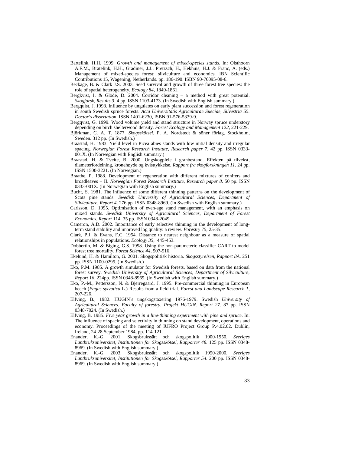- Bartelink, H.H. 1999. *Growth and management of mixed-species stands*. In: Olsthoorn A.F.M., Bratelink, H.H., Gradiner, J.J., Pretzsch, H., Hekhuis, H.J. & Franc, A. (eds.) Management of mixed-species forest: silviculture and economics. IBN Scientific Contributions 15, Wagening, Netherlands. pp. 186-190. ISBN 90-76095-08-6.
- Beckage, B. & Clark J.S. 2003. Seed survival and growth of three forest tree species: the role of spatial heterogeneity. *Ecology 84*, 1849-1861.
- Bergkvist, I. & Glöde, D. 2004. Corridor cleaning a method with great potential. *Skogforsk, Results 3*. 4 pp. ISSN 1103-4173. (In Swedish with English summary.)
- Bergquist, J. 1998. Influence by ungulates on early plant succession and forest regeneration in south Swedish spruce forests. *Acta Universitatis Agriculturae Sueciae, Silvestria 55. Doctor's dissertation*. ISSN 1401-6230, ISBN 91-576-5339-9.
- Bergqvist, G. 1999. Wood volume yield and stand structure in Norway spruce understory depending on birch shelterwood density. *Forest Ecology and Management 122*, 221-229.
- Björkman, C. A. T. 1877. *Skogsskötsel*. P. A. Nordstedt & söner förlag, Stockholm, Sweden. 312 pp. (In Swedish.)
- Braastad, H. 1983. Yield level in Picea abies stands with low initial density and irregular spacing. *Norwegian Forest Research Institute, Research paper 7*. 42 pp. ISSN 0333- 001X. (In Norwegian with English summary.)
- Braastad, H. & Tveite, B. 2000. Ungskogpleie i granbestand. Effekten på tilvekst, diameterfordelning, kronehøyde og kvisttykkelse. *Rapport fra skogforskningen 11*. 24 pp. ISSN 1500-3221. (In Norwegian.)
- Braathe, P. 1988. Development of regeneration with different mixtures of conifers and broadleaves – II. *Norwegian Forest Research Institute, Research paper 8*. 50 pp. ISSN 0333-001X. (In Norwegian with English summary.)
- Bucht, S. 1981. The influence of some different thinning patterns on the development of Scots pine stands. *Swedish University of Agricultural Sciences, Department of Silviculture, Report 4*. 276 pp. ISSN 0348-8969. (In Swedish with English summary.)
- Carlsson, D. 1995. Optimisation of even-age stand management, with an emphasis on mixed stands. *Swedish University of Agricultural Sciences, Department of Forest Economics, Report* 114. 35 pp. ISSN 0348-2049.
- Cameron, A.D. 2002. Importance of early selective thinning in the development of longterm stand stability and improved log quality: a review. *Forestry 75*, 25-35.
- Clark, P.J. & Evans, F.C. 1954. Distance to nearest neighbour as a measure of spatial relationships in populations. *Ecology 35*, 445-453.
- Dobbertin, M. & Biging, G.S. 1998. Using the non-parameteric classifier CART to model forest tree mortality. *Forest Science 44*, 507-516.
- Ekelund, H. & Hamilton, G. 2001. Skogspolitisk historia. *Skogsstyrelsen, Rapport 8A*. 251 pp. ISSN 1100-0295. (In Swedish.)
- Ekö, P.M. 1985. A growth simulator for Swedish forests, based on data from the national forest survey. *Swedish University of Agricultural Sciences, Department of Silviculture, Report 16*. 224pp. ISSN 0348-8969. (In Swedish with English summary.)
- Ekö, P.-M., Pettersson, N. & Bjerregaard, J. 1995. Pre-commercial thinning in European beech (*Fagus sylvatica* L.)-Results from a field trial. *Forest and Landscape Research 1*, 207-226.
- Elfving, B., 1982. HUGIN´s ungskogstaxering 1976-1979. Swedish *University of Agricultural Sciences. Faculty of forestry. Projekt HUGIN. Report 27*. 87 pp. ISSN 0348-7024. (In Swedish.)
- Elfving, B. 1985. *Five year growth in a line-thinning experiment with pine and spruce*. In: The influence of spacing and selectivity in thinning on stand development, operations and economy. Proceedings of the meeting of IUFRO Project Group P.4.02.02. Dublin, Ireland, 24-28 September 1984, pp. 114-121.
- Enander, K.-G. 2001. Skogsbrukssätt och skogspolitik 1900-1950. *Sveriges Lantbruksuniversitet, Institutionen för Skogsskötsel, Rapporter 48*. 125 pp. ISSN 0348- 8969. (In Swedish with English summary.)
- Enander, K.-G. 2003. Skogsbrukssätt och skogspolitik 1950-2000. *Sveriges Lantbruksuniversitet, Institutionen för Skogsskötsel, Rapporter 54*. 200 pp. ISSN 0348- 8969. (In Swedish with English summary.)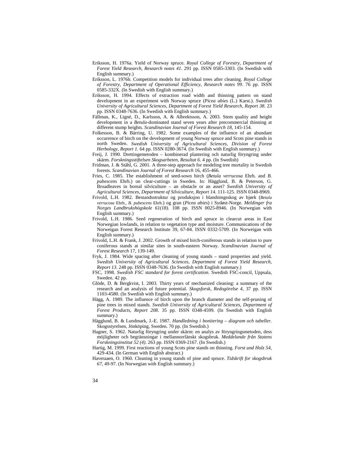- Eriksson, H. 1976a. Yield of Norway spruce. *Royal College of Forestry, Department of Forest Yield Research, Research notes 41*. 291 pp. ISSN 0585-3303. (In Swedish with English summary.)
- Eriksson, L. 1976b. Competition models for individual trees after cleaning. *Royal College of Forestry, Department of Operational Efficiency, Research notes 99*. 76 pp. ISSN 0585-332X. (In Swedish with English summary.)
- Eriksson, H. 1994. Effects of extraction road width and thinning pattern on stand development in an experiment with Norway spruce (*Picea abies* (L.) Karst.). *Swedish University of Agricultural Sciences, Department of Forest Yield Research, Report 38*. 23 pp. ISSN 0348-7636. (In Swedish with English summary.)
- Fällman, K., Ligné, D., Karlsson, A. & Albrektsson, A. 2003. Stem quality and height development in a *Betula*-dominated stand seven years after precommercial thinning at different stump heights. *Scandinavian Journal of Forest Research 18*, 145-154.
- Folkesson, B. & Bärring, U. 1982. Some examples of the influence of an abundant occurrence of birch on the development of young Norway spruce and Scots pine stands in north Sweden. *Swedish University of Agricultural Sciences, Division of Forest Herbology, Report 1*. 64 pp. ISSN 0280-3674. (In Swedish with English summary.)
- Freij, J. 1990. Drettingemetoden kombinerad plantering och naturlig föryngring under skärm. *Forskningsstiftelsen Skogsarbeten, Resultat 6*. 4 pp. (In Swedish)
- Fridman, J. & Ståhl, G. 2001. A three-step approach for modeling tree mortality in Swedish forests. *Scandinavian Journal of Forest Research* 16, 455-466.
- Fries, C. 1985. The establishment of seed-sown birch (*Betula verrucosa* Ehrh. and *B. pubescens* Ehrh.) on clear-cuttings in Sweden. In: Hägglund, B. & Peterson, G. Broadleaves in boreal silviculture – an obstacle or an asset? *Swedish University of Agricultural Sciences, Department of Silviculture, Report 14.* 111-125. ISSN 0348-8969.
- Frivold, L.H. 1982. Bestandsstruktur og produksjon i blandningsskog av bjørk (*Betula verrucosa* Ehrh., *B. pubescens* Ehrh.) og gran (*Picea abies*) i Sydøst-Norge. *Meldinger fra Norges Landbrukshögskole 61(18)*. 108 pp. ISSN 0025-8946. (In Norwegian with English summary.)
- Frivold, L.H. 1986. Seed regeneration of birch and spruce in clearcut areas in East Norwegian lowlands, in relation to vegetation type and moisture. Communications of the Norweigan Forest Research Institute 39, 67-84. ISSN 0332-5709. (In Norweigan with English summary.)
- Frivold, L.H. & Frank, J. 2002. Growth of mixed birch-coniferous stands in relation to pure coniferous stands at similar sites in south-eastern Norway. *Scandinavian Journal of Forest Research* 17, 139-149.
- Fryk, J. 1984. Wide spacing after cleaning of young stands stand properties and yield. *Swedish University of Agricultural Sciences, Department of Forest Yield Research, Report 13.* 248 pp. ISSN 0348-7636. (In Swedish with English summary.)
- FSC, 1998. *Swedish FSC standard for forest certification*. Swedish FSC-concil, Uppsala, Sweden. 42 pp.
- Glöde, D. & Bergkvist, I. 2003. Thirty years of mechanized cleaning: a summary of the research and an analysis of future potential. *Skogsforsk, Redogörelse 4*, 37 pp. ISSN 1103-4580. (In Swedish with English summary.)
- Hägg, A. 1989. The influence of birch upon the branch diameter and the self-pruning of pine trees in mixed stands. *Swedish University of Agricultural Sciences, Department of Forest Products, Report 208*. 35 pp. ISSN 0348-4599. (In Swedish with English summary.)
- Hägglund, B. & Lundmark, J.-E. 1987. *Handledning i bonitering diagram och tabeller*. Skogsstyrelsen, Jönköping, Sweden. 70 pp. (In Swedish.)
- Hagner, S. 1962. Naturlig föryngring under skärm: en analys av föryngringsmetoden, dess möjligheter och begränsningar i mellannorrlänskt skogsbruk. *Meddelande från Statens Forskningsinstitut 52 (4)*. 263 pp. ISSN 0369-2167. (In Swedish.)
- Hartig, M. 1999. First reactions of young Scots pine stands on thinning. *Forst und Holz 54*, 429-434. (In German with English abstract.)
- Haveraaen, O. 1960. Cleaning in young stands of pine and spruce. *Tidskrift for skogsbruk 67*, 49-97. (In Norwegian with English summary.)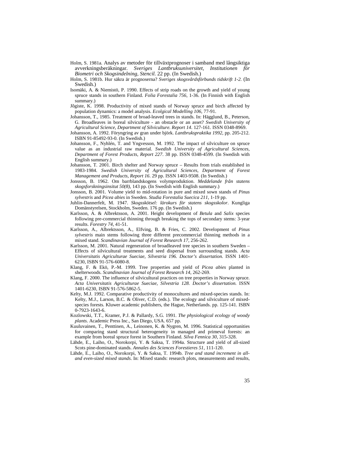- Holm, S. 1981a. Analys av metoder för tillväxtprognoser i samband med långsiktiga<br>avverkningsberäkningar. Sveriges Lantbruksuniversitet. Institutionen för avverkningsberäkningar. Sveriges Lantbruksuniversitet, *Biometri och Skogsindelning, Stencil.* 22 pp. (In Swedish.)
- Holm, S. 1981b. Hur säkra är prognoserna? *Sveriges skogsvårdsförbunds tidskrift 1-2.* (In Swedish.)
- Isomäki, A. & Niemistö, P. 1990. Effects of strip roads on the growth and yield of young spruce stands in southern Finland. *Folia Forestalia 756*, 1-36. (In Finnish with English summary.)
- Jõgiste, K. 1998. Productivity of mixed stands of Norway spruce and birch affected by population dynamics: a model analysis. *Ecolgical Modelling 106*, 77-91.
- Johansson, T., 1985. Treatment of broad-leaved trees in stands. In: Hägglund, B., Peterson, G. Broadleaves in boreal silviculture - an obstacle or an asset? *Swedish University of Agricultural Science, Department of Silviculture. Report 14*. 127-161. ISSN 0348-8969.
- Johansson, A. 1992. Föryngring av gran under björk. *Lantbrukspraktika 1992*, pp. 205-212. ISBN 91-85492-93-0. (In Swedish.)
- Johansson, F., Nyhlén, T. and Yngvesson, M. 1992. The impact of silviculture on spruce value as an industrial raw material. *Swedish University of Agricultural Sciences, Department of Forest Products, Report 227*. 38 pp. ISSN 0348-4599. (In Swedish with English summary.)
- Johansson, T. 2001. Birch shelter and Norway spruce Results from trials established in 1983-1984. *Swedish University of Agricultural Sciences, Department of Forest Management and Products, Report 16*. 29 pp. ISSN 1403-9508. (In Swedish.)
- Jonsson, B. 1962. Om barrblandskogens volymproduktion. *Meddelande från statens skogsforskningsinsitut 50(8)*, 143 pp. (In Swedish with English summary.)
- Jonsson, B. 2001. Volume yield to mid-rotation in pure and mixed sown stands of *Pinus sylvestris* and *Picea abies* in Sweden. *Studia Forestalia Suecica 211*, 1-19 pp.
- Juhlin-Dannerfelt, M. 1947. *Skogsskötsel: lärokurs för statens skogsskolor*. Kungliga Domänstyrelsen, Stockholm, Sweden. 176 pp. (In Swedish.)
- Karlsson, A. & Albrektsson, A. 2001. Height development of *Betula* and *Salix* species following pre-commercial thinning through breaking the tops of secondary stems: 3-year results. *Forestry 74*, 41-51.
- Karlsson, A., Albrektsson, A., Elfving, B. & Fries, C. 2002. Development of *Pinus sylvestris* main stems following three different precommercial thinning methods in a mixed stand. *Scandinavian Journal of Forest Research 17*, 256-262.
- Karlsson, M. 2001. Natural regeneration of broadleaved tree species in southern Sweden Effects of silvicultural treatments and seed dispersal from surrounding stands. *Acta Universitatis Agriculturae Sueciae, Silvestria 196. Doctor's dissertation.* ISSN 1401- 6230, ISBN 91-576-6080-8.
- Klang, F. & Ekö, P.-M. 1999. Tree properties and yield of *Picea abies* planted in shelterwoods. *Scandinavian Journal of Forest Research 14*, 262-269.
- Klang, F. 2000. The influence of silvicultural practices on tree properties in Norway spruce. *Acta Universitatis Agriculturae Sueciae, Silvestria 128. Doctor's dissertation.* ISSN 1401-6230, ISBN 91-576-5862-5.
- Kelty, M.J. 1992. Comparative productivity of monocultures and mixed-species stands. In: Kelty, M.J., Larson, B.C. & Oliver, C.D. (eds.). The ecology and silviculture of mixedspecies forests. Kluwer academic publishers, the Hague, Netherlands. pp. 125-141. ISBN 0-7923-1643-6.
- Kozlowski, T.T., Kramer, P.J. & Pallardy, S.G. 1991. *The physiological ecology of woody plants*. Academic Press Inc., San Diego, USA. 657 pp.
- Kuuluvainen, T., Penttinen, A., Leinonen, K. & Nygren, M. 1996. Statistical opportunities for comparing stand structural heterogeneity in managed and primeval forests: an example from boreal spruce forest in Southern Finland. *Silva Fennica 30*, 315-328.
- Lähde, E., Laiho, O., Norokorpi, Y. & Saksa, T. 1994a. Structure and yield of all-sized Scots pine-dominated stands. *Annales des Sciences Forestieres 51*, 111-120.
- Lähde, E., Laiho, O., Norokorpi, Y. & Saksa, T. 1994b. *Tree and stand increment in alland even-sized mixed stands*. In: Mixed stands: research plots, measurements and results,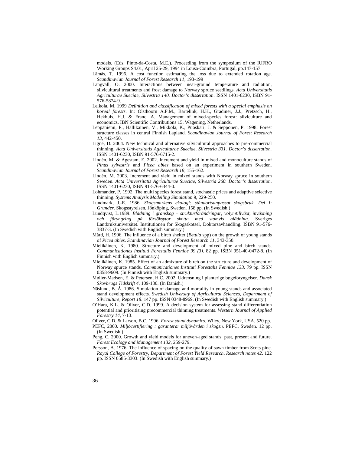models. (Eds. Pinto-da-Costa, M.E.). Proceeding from the symposium of the IUFRO Working Groups S4.01, April 25-29, 1994 in Lousa-Coimbra, Portugal, pp.147-157.

- Lämås, T. 1996. A cost function estimating the loss due to extended rotation age. *Scandinavian Journal of Forest Research 11*, 193-199
- Langvall, O. 2000. Interactions between near-ground temperature and radiation, silvicultural treatments and frost damage to Norway spruce seedlings. *Acta Universitatis Agriculturae Sueciae, Silvestria 140. Doctor's dissertation*. ISSN 1401-6230, ISBN 91- 576-5874-9.
- Leikola, M. 1999 *Definition and classification of mixed forests with a special emphasis on boreal forests*. In: Olsthoorn A.F.M., Bartelink, H.H., Gradiner, J.J., Pretzsch, H., Hekhuis, H.J. & Franc, A. Management of mixed-species forest: silviculture and economics. IBN Scientific Contributions 15, Wagening, Netherlands.
- Leppäniemi, P., Hallikainen, V., Mikkola, K., Puoskari, J. & Sepponen, P. 1998. Forest structure classes in central Finnish Lapland. *Scandinavian Journal of Forest Research 13*, 442-450.
- Ligné, D. 2004. New technical and alternative silvicultural approaches to pre-commercial thinning. *Acta Universitatis Agriculturae Sueciae, Silvestria 331. Doctor's dissertation.* ISSN 1401-6230, ISBN 91-576-6715-2.
- Lindén, M. & Agestam, E. 2002. Increment and yield in mixed and monoculture stands of *Pinus sylvestris* and *Picea abies* based on an experiment in southern Sweden. *Scandinavian Journal of Forest Research 18*, 155-162.
- Lindén, M. 2003. Increment and yield in mixed stands with Norway spruce in southern Sweden. *Acta Universitatis Agriculturae Sueciae, Silvestria 260. Doctor's dissertation*. ISSN 1401-6230, ISBN 91-576-6344-0.
- Lohmander, P. 1992. The multi species forest stand, stochastic prices and adaptive selective thinning. *Systems Analysis Modelling Simulation* 9, 229-250.
- Lundmark, J.-E. 1986. *Skogsmarkens ekologi: ståndortsanpassat skogsbruk. Del I: Grunder*. Skogsstyrelsen, Jönköping, Sweden. 158 pp. (In Swedish.)
- Lundqvist, L.1989. *Blädning i granskog strukturförändringar, volymtillväxt, inväxning och föryngring på försöksytor skötta med stamvis blädning*. Sveriges Lantbruksuniversitet. Institutionen för Skogsskötsel, Doktorsavhandling. ISBN 91-576- 3837-3. (In Swedish with English summary.)
- Mård, H. 1996. The influence of a birch shelter (*Betula* spp) on the growth of young stands of *Picea abies*. *Scandinavian Journal of Forest Research 11*, 343-350.
- Mielikäinen, K. 1980. Structure and development of mixed pine and birch stands. *Communicationes Instituti Forestalis Fenniae 99 (3)*. 82 pp. ISBN 951-40-0472-8. (In Finnish with English summary.)
- Mielikäinen, K. 1985. Effect of an admixture of birch on the structure and development of Norway spurce stands. *Communicationes Instituti Forestalis Fenniae 133*. 79 pp. ISSN 0358-9609. (In Finnish with English summary.)
- Møller-Madsen, E. & Petersen, H.C. 2002. Udrensning i planterige bøgeforyngelser. *Dansk Skovbrugs Tidskrift 4*, 109-130. (In Danish.)
- Näslund, B.-Å. 1986. Simulation of damage and mortality in young stands and associated stand development effects. *Swedish University of Agricultural Sciences, Department of Silviculture, Report 18*. 147 pp. ISSN 0348-8969. (In Swedish with English summary.)
- O'Hara, K.L. & Oliver, C.D. 1999. A decision system for assessing stand differentiation potential and prioritising precommercial thinning treatments. *Western Journal of Applied Forestry 14*, 7-13.
- Oliver, C.D. & Larson, B.C. 1996. *Forest stand dynamics*. Wiley, New York, USA. 520 pp.
- PEFC, 2000. *Miljöcertifiering : garanterar miljövården i skogsn*. PEFC, Sweden. 12 pp. (In Swedish.)
- Peng, C. 2000. Growth and yield models for uneven-aged stands: past, present and future. *Forest Ecology and Management 132*, 259-279.
- Persson, A. 1976. The influence of spacing on the quality of sawn timber from Scots pine. *Royal College of Forestry, Department of Forest Yield Research, Research notes 42*. 122 pp. ISSN 0585-3303. (In Swedish with English summary.)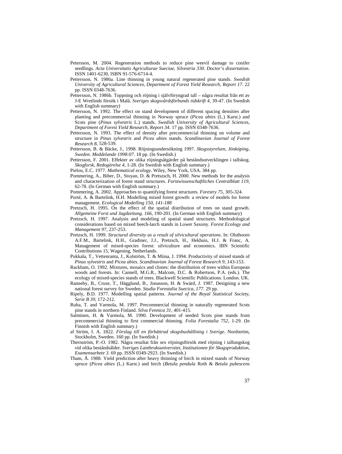- Petersson, M. 2004. Regeneration methods to reduce pine weevil damage to conifer seedlings. *Acta Universitatis Agriculturae Sueciae, Silvestria 330. Doctor's dissertation*. ISSN 1401-6230, ISBN 91-576-6714-4.
- Pettersson, N. 1986a. Line thinning in young natural regenerated pine stands. *Swedish University of Agricultural Sciences, Department of Forest Yield Research, Report 17*. 22 pp. ISSN 0348-7636.
- Pettersson, N. 1986b. Toppning och röjning i självföryngrad tall några resultat från ett av J-E Wretlinds försök i Malå. *Sveriges skogsvårdsförbunds tidskrift 4*, 39-47. (In Swedish with English summary)
- Pettersson, N. 1992. The effect on stand development of different spacing densities after planting and precommercial thinning in Norway spruce (*Picea abies* (L.) Karst.) and Scots pine (*Pinus sylvestris* L.) stands. *Swedish University of Agricultural Sciences, Department of Forest Yield Research, Report 34*. 17 pp. ISSN 0348-7636.
- Pettersson, N. 1993. The effect of density after precommercial thinning on volume and structure in *Pinus sylvestris* and *Picea abies* stands. *Scandinavian Journal of Forest Research 8*, 528-539.
- Pettersson, B. & Bäcke, J., 1998. Röjningsundersökning 1997. *Skogsstyrelsen, Jönköping, Sweden. Meddelande 1998:07*. 18 pp. (In Swedish.)
- Pettersson, F. 2001. Effekter av olika röjningsåtgärder på beståndsutvecklingen i tallskog. *Skogforsk, Redogörelse 4*, 1-28. (In Swedish with English summary.)
- Pielou, E.C. 1977. *Mathematical ecology*. Wiley, New York, USA. 384 pp.
- Pommering, A., Biber, D., Stoyan, D. & Pretszsch, H. 2000. New methods for the analysis and characterization of forest stand structures. *Forstwissenschaftliches Centralblatt 119*, 62-78. (In German with English summary.)
- Pommering, A. 2002. Approaches to quantifying forest structures. *Forestry 75*, 305-324.
- Porté, A. & Bartelink, H.H. Modelling mixed forest growth: a review of models for forest management. *Ecological Modelling 150, 141-188*
- Pretzsch, H. 1995. On the effect of the spatial distribution of trees on stand growth. *Allgemeine Forst und Jagdzeitung. 166*, 190-201. (In German with English summary)
- Pretzsch, H. 1997. Analysis and modeling of spatial stand structures. Methodological considerations based on mixed beech-larch stands in Lower Saxony. *Forest Ecology and Management 97*, 237-253.
- Pretzsch, H. 1999. *Structural diversity as a result of silvicultural operations*. In: Olsthoorn A.F.M., Bartelink, H.H., Gradiner, J.J., Pretzsch, H., Hekhuis, H.J. & Franc, A. Management of mixed-species forest: silviculture and economics. IBN Scientific Contributions 15, Wagening, Netherlands.
- Pukkala, T., Vettenranta, J., Kolström, T. & Miina, J. 1994. Productivity of mixed stands of *Pinus sylvestris* and *Picea abies*. *Scandinavian Journal of Forest Research 9*, 143-153.
- Rackham, O. 1992. Mixtures, mosaics and clones: the distribution of trees within European woods and forests. In: Cannell, M.G.R., Malcom, D.C. & Robertson, P.A. (eds.). The ecology of mixed-species stands of trees. Blackwell Scientific Publications. London. UK.
- Ranneby, B., Cruse, T., Hägglund, B., Jonasson, H. & Swärd, J. 1987. Designing a new national forest survey for Sweden. *Studia Forestalia Suecica, 177*. 29 pp.
- Ripely, B.D. 1977. Modelling spatial patterns. *Journal of the Royal Statistical Society, Serie B 39*, 172-212.
- Ruha, T. and Varmola, M. 1997. Precommercial thinning in naturally regenerated Scots pine stands in northern Finland. *Silva Fennica 31*, 401-415.
- Salminen, H. & Varmola, M. 1990. Development of seeded Scots pine stands from precommercial thinning to first commercial thinning. *Folia Forestalia 752*, 1-29. (In Finnish with English summary.)
- af Ström, I. A. 1822. *Förslag till en förbättrad skogshushållning i Sverige*. Nordström, Stockholm, Sweden. 160 pp. (In Swedish.)
- Thernström, P.-O. 1982. Några resultat från sex röjningsförsök med röjning i tallungskog vid olika beståndsålder. *Sveriges Lantbruksuniversitet, Institutionen för Skogsproduktion, Examensarbete 3*. 69 pp. ISSN 0349-2923. (In Swedish.)
- Tham, Å. 1988. Yield prediction after heavy thinning of birch in mixed stands of Norway spruce (*Picea abies* (L.) Karst.) and birch (*Betula pendula* Roth & *Betula pubescens*